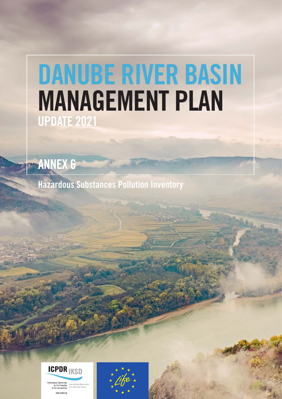# DANUBE RIVER BASIN MANAGEMENT PLAN UPDATE 2021

ANNEX 6

Hazardous Substances Pollution Inventory



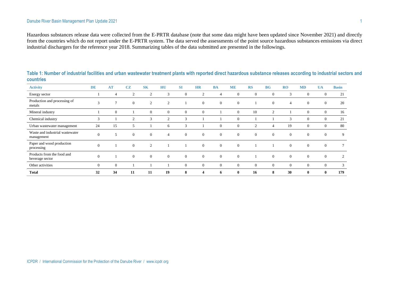Hazardous substances release data were collected from the E-PRTR database (note that some data might have been updated since November 2021) and directly from the countries which do not report under the E-PRTR system. The data served the assessments of the point source hazardous substances emissions via direct industrial dischargers for the reference year 2018. Summarizing tables of the data submitted are presented in the followings.

| <b>Activity</b>                               | <b>DE</b>        | <b>AT</b>      | <b>CZ</b>      | <b>SK</b>      | HU             | <b>SI</b>    | <b>HR</b>      | <b>BA</b>    | <b>ME</b>    | <b>RS</b>      | <b>BG</b>      | RO             | <b>MD</b>      | <b>UA</b>      | <b>Basin</b> |
|-----------------------------------------------|------------------|----------------|----------------|----------------|----------------|--------------|----------------|--------------|--------------|----------------|----------------|----------------|----------------|----------------|--------------|
| Energy sector                                 |                  | $\overline{4}$ | 2              | $\overline{2}$ | 3              | $\theta$     | 2              | 4            | $\Omega$     | $\theta$       | $\theta$       | 3              | $\theta$       | $\theta$       | 21           |
| Production and processing of<br>metals        | 3                | $\mathcal{I}$  | $\theta$       | 2              | $\overline{2}$ |              | $\Omega$       | $\Omega$     | $\theta$     |                | $\mathbf{0}$   | 4              | $\Omega$       | $\theta$       | 20           |
| Mineral industry                              |                  | $\mathbf{0}$   |                | $\theta$       | $\Omega$       | $\Omega$     | $\overline{0}$ |              | $\Omega$     | 10             | 2              |                | $\overline{0}$ | $\overline{0}$ | 16           |
| Chemical industry                             | 3                |                | $\overline{2}$ | 3              | $\mathcal{D}$  | 3            |                |              |              |                |                | 3              | $\overline{0}$ | $\theta$       | 21           |
| Urban wastewater management                   | 24               | 15             | 5              |                | 6              | $\sim$       |                | $\theta$     | $\theta$     | $\overline{2}$ | 4              | 19             | $\theta$       | $\theta$       | 80           |
| Waste and industrial wastewater<br>management | $\boldsymbol{0}$ | 5              | $\mathbf{0}$   | $\overline{0}$ | $\overline{4}$ | $\mathbf{0}$ | $\overline{0}$ | $\mathbf{0}$ | $\Omega$     | $\overline{0}$ | $\overline{0}$ | $\overline{0}$ | $\overline{0}$ | $\overline{0}$ | 9            |
| Paper and wood production<br>processing       | $\theta$         |                | $\mathbf{0}$   | $\overline{2}$ |                |              | $\Omega$       | $\Omega$     | $\Omega$     |                |                | $\Omega$       | $\theta$       | $\overline{0}$ | $\tau$       |
| Products from the food and<br>beverage sector | $\mathbf{0}$     |                | $\mathbf{0}$   | $\overline{0}$ | $\theta$       | $\theta$     | $\overline{0}$ | $\mathbf{0}$ | $\theta$     |                | $\overline{0}$ | $\mathbf{0}$   | $\mathbf{0}$   | $\mathbf{0}$   | 2            |
| Other activities                              | $\mathbf{0}$     | $\mathbf{0}$   |                |                |                | $\Omega$     | $\overline{0}$ | $\mathbf{0}$ | $\Omega$     | $\mathbf{0}$   | $\theta$       | $\mathbf{0}$   | $\overline{0}$ | $\mathbf{0}$   | 3            |
| <b>Total</b>                                  | 32               | 34             | 11             | 11             | 19             | 8            | 4              | 6            | $\mathbf{0}$ | 16             | 8              | 30             | $\bf{0}$       | $\bf{0}$       | 179          |

**Table 1: Number of industrial facilities and urban wastewater treatment plants with reported direct hazardous substance releases according to industrial sectors and countries**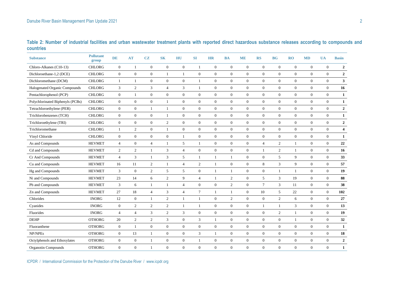| <b>Substance</b>                 | <b>Pollutant</b><br>group | <b>DE</b>      | <b>AT</b>        | CZ               | <b>SK</b>        | HU                          | <b>SI</b>        | <b>HR</b>        | <b>BA</b>        | <b>ME</b>        | <b>RS</b>        | <b>BG</b>        | RO               | <b>MD</b>        | <b>UA</b>        | <b>Basin</b>            |
|----------------------------------|---------------------------|----------------|------------------|------------------|------------------|-----------------------------|------------------|------------------|------------------|------------------|------------------|------------------|------------------|------------------|------------------|-------------------------|
| Chloro-Alkanes (C10-13)          | <b>CHLORG</b>             | $\mathbf{0}$   | $\mathbf{1}$     | $\boldsymbol{0}$ | $\boldsymbol{0}$ | $\boldsymbol{0}$            | $\mathbf{1}$     | $\boldsymbol{0}$ | $\boldsymbol{0}$ | $\boldsymbol{0}$ | $\boldsymbol{0}$ | $\mathbf{0}$     | $\boldsymbol{0}$ | $\boldsymbol{0}$ | $\mathbf{0}$     | $\overline{\mathbf{c}}$ |
| Dichloroethane-1,2 (DCE)         | <b>CHLORG</b>             | $\mathbf{0}$   | $\mathbf{0}$     | $\mathbf{0}$     | $\mathbf{1}$     | $\mathbf{1}$                | $\mathbf{0}$     | $\mathbf{0}$     | $\overline{0}$   | $\overline{0}$   | $\overline{0}$   | $\overline{0}$   | $\boldsymbol{0}$ | $\mathbf{0}$     | $\mathbf{0}$     | $\overline{2}$          |
| Dichloromethane (DCM)            | <b>CHLORG</b>             | $\mathbf{1}$   | $\mathbf{1}$     | $\mathbf{0}$     | $\mathbf{0}$     | $\mathbf{0}$                | $\mathbf{1}$     | $\boldsymbol{0}$ | $\overline{0}$   | $\overline{0}$   | $\overline{0}$   | $\overline{0}$   | $\mathbf{0}$     | $\overline{0}$   | $\mathbf{0}$     | $\mathbf{3}$            |
| Halogenated Organic Compounds    | <b>CHLORG</b>             | 3              | 2                | 3                | $\overline{4}$   | $\ensuremath{\mathfrak{Z}}$ | $\mathbf{1}$     | $\overline{0}$   | $\overline{0}$   | $\overline{0}$   | $\overline{0}$   | $\overline{0}$   | $\boldsymbol{0}$ | $\boldsymbol{0}$ | $\mathbf{0}$     | 16                      |
| Pentachlorophenol (PCP)          | <b>CHLORG</b>             | $\overline{0}$ | $\mathbf{1}$     | $\mathbf{0}$     | $\mathbf{0}$     | $\boldsymbol{0}$            | $\boldsymbol{0}$ | $\boldsymbol{0}$ | $\boldsymbol{0}$ | $\overline{0}$   | $\overline{0}$   | $\overline{0}$   | $\boldsymbol{0}$ | $\boldsymbol{0}$ | $\overline{0}$   | $\mathbf{1}$            |
| Polychlorinated Biphenyls (PCBs) | <b>CHLORG</b>             | $\overline{0}$ | $\boldsymbol{0}$ | $\overline{0}$   | $\mathbf{1}$     | $\mathbf{0}$                | $\overline{0}$   | $\mathbf{0}$     | $\boldsymbol{0}$ | $\boldsymbol{0}$ | $\overline{0}$   | $\overline{0}$   | $\mathbf{0}$     | $\boldsymbol{0}$ | $\mathbf{0}$     | $\mathbf{1}$            |
| Tetrachloroethylene (PER)        | <b>CHLORG</b>             | $\mathbf{0}$   | $\mathbf{0}$     | $\mathbf{1}$     | $\mathbf{1}$     | $\mathbf{0}$                | $\overline{0}$   | $\overline{0}$   | $\overline{0}$   | $\overline{0}$   | $\Omega$         | $\Omega$         | $\overline{0}$   | $\boldsymbol{0}$ | $\mathbf{0}$     | $\mathbf{2}$            |
| Trichlorobenzenes (TCH)          | <b>CHLORG</b>             | $\theta$       | $\overline{0}$   | $\overline{0}$   | -1               | $\mathbf{0}$                | $\boldsymbol{0}$ | $\overline{0}$   | $\overline{0}$   | $\overline{0}$   | $\Omega$         | $\Omega$         | $\overline{0}$   | $\boldsymbol{0}$ | $\overline{0}$   | $\mathbf{1}$            |
| Trichloroethylene (TRI)          | <b>CHLORG</b>             | $\overline{0}$ | $\overline{0}$   | $\overline{0}$   | 2                | $\mathbf{0}$                | $\overline{0}$   | $\overline{0}$   | $\mathbf{0}$     | $\overline{0}$   | $\overline{0}$   | $\overline{0}$   | $\mathbf{0}$     | $\mathbf{0}$     | $\mathbf{0}$     | $\overline{2}$          |
| Trichloromethane                 | <b>CHLORG</b>             | $\mathbf{1}$   | 2                | $\overline{0}$   | $\mathbf{1}$     | $\boldsymbol{0}$            | $\boldsymbol{0}$ | $\overline{0}$   | $\boldsymbol{0}$ | $\overline{0}$   | $\overline{0}$   | $\overline{0}$   | $\mathbf{0}$     | $\mathbf{0}$     | $\mathbf{0}$     | $\overline{\mathbf{4}}$ |
| Vinyl Chloride                   | <b>CHLORG</b>             | $\theta$       | $\mathbf{0}$     | $\overline{0}$   | $\mathbf{0}$     | $\mathbf{1}$                | $\boldsymbol{0}$ | $\overline{0}$   | $\overline{0}$   | $\Omega$         | $\overline{0}$   | $\Omega$         | $\overline{0}$   | $\boldsymbol{0}$ | $\overline{0}$   | $\mathbf{1}$            |
| As and Compounds                 | <b>HEVMET</b>             | $\overline{4}$ | $\mathbf{0}$     | $\overline{4}$   | $\mathbf{1}$     | 5                           | $\mathbf{1}$     | $\boldsymbol{0}$ | $\boldsymbol{0}$ | $\boldsymbol{0}$ | $\overline{4}$   | $\overline{2}$   | $\mathbf{1}$     | $\boldsymbol{0}$ | $\boldsymbol{0}$ | $\bf 22$                |
| Cd and Compounds                 | <b>HEVMET</b>             | 2              | 2                | $\mathbf{1}$     | 3                | $\overline{4}$              | $\boldsymbol{0}$ | $\boldsymbol{0}$ | $\boldsymbol{0}$ | $\boldsymbol{0}$ | 1                | $\overline{c}$   | $\mathbf{1}$     | $\mathbf{0}$     | $\mathbf{0}$     | 16                      |
| Cr And Compounds                 | <b>HEVMET</b>             | $\overline{4}$ | $\overline{3}$   | $\mathbf{1}$     | 3                | 5                           | $\mathbf{1}$     | 1                | $\mathbf{1}$     | $\overline{0}$   | $\mathbf{0}$     | 5                | 9                | $\boldsymbol{0}$ | $\mathbf{0}$     | 33                      |
| Cu and Compounds                 | <b>HEVMET</b>             | 16             | 11               | 2                | $\mathbf{1}$     | $\overline{4}$              | 2                | 1                | $\overline{0}$   | $\overline{0}$   | 8                | 3                | 9                | $\boldsymbol{0}$ | $\mathbf{0}$     | 57                      |
| Hg and Compounds                 | <b>HEVMET</b>             | 3              | $\overline{0}$   | 2                | 5                | 5                           | $\boldsymbol{0}$ | 1                | 1                | $\overline{0}$   | $\overline{0}$   | $\overline{1}$   | $\mathbf{1}$     | $\boldsymbol{0}$ | $\overline{0}$   | 19                      |
| Ni and Compounds                 | <b>HEVMET</b>             | 23             | 14               | 6                | 2                | 9                           | $\overline{4}$   | $\mathbf{1}$     | $\overline{2}$   | $\mathbf{0}$     | 5                | 3                | 19               | $\boldsymbol{0}$ | $\mathbf{0}$     | 88                      |
| Pb and Compounds                 | <b>HEVMET</b>             | 3              | 6                | $\mathbf{1}$     | $\mathbf{1}$     | $\overline{4}$              | $\boldsymbol{0}$ | $\overline{0}$   | $\overline{c}$   | $\overline{0}$   | $7\phantom{.0}$  | 3                | 11               | $\boldsymbol{0}$ | $\mathbf{0}$     | 38                      |
| Zn and Compounds                 | <b>HEVMET</b>             | 27             | 18               | $\overline{4}$   | 3                | $\overline{4}$              | $\tau$           | 1                | 1                | $\overline{0}$   | 10               | 5                | 22               | $\boldsymbol{0}$ | $\mathbf{0}$     | 102                     |
| Chlorides                        | <b>INORG</b>              | 12             | $\mathbf{0}$     | $\mathbf{1}$     | 2                | $\mathbf{1}$                | $\mathbf{1}$     | $\mathbf{0}$     | $\overline{2}$   | $\boldsymbol{0}$ | $\overline{0}$   | $\overline{2}$   | 6                | $\boldsymbol{0}$ | $\mathbf{0}$     | 27                      |
| Cyanides                         | <b>INORG</b>              | $\mathbf{0}$   | 2                | 2                | 2                | $\mathbf{1}$                | $\mathbf{1}$     | $\overline{0}$   | $\boldsymbol{0}$ | $\overline{0}$   | $\mathbf{1}$     | $\mathbf{1}$     | 3                | $\mathbf{0}$     | $\mathbf{0}$     | 13                      |
| Fluorides                        | <b>INORG</b>              | $\overline{4}$ | $\overline{4}$   | 3                | 2                | 3                           | $\overline{0}$   | $\overline{0}$   | $\overline{0}$   | $\overline{0}$   | $\overline{0}$   | $\overline{2}$   | $\mathbf{1}$     | $\overline{0}$   | $\overline{0}$   | 19                      |
| <b>DEHP</b>                      | <b>OTHORG</b>             | 20             | 2                | 2                | 3                | $\mathbf{0}$                | $\mathfrak{Z}$   | 1                | $\boldsymbol{0}$ | $\overline{0}$   | $\overline{0}$   | $\overline{0}$   | $\mathbf{1}$     | $\boldsymbol{0}$ | $\mathbf{0}$     | 32                      |
| Fluoranthene                     | <b>OTHORG</b>             | $\overline{0}$ | $\mathbf{1}$     | $\overline{0}$   | $\mathbf{0}$     | $\boldsymbol{0}$            | $\mathbf{0}$     | $\overline{0}$   | $\overline{0}$   | $\overline{0}$   | $\overline{0}$   | $\overline{0}$   | $\mathbf{0}$     | $\mathbf{0}$     | $\mathbf{0}$     | $\mathbf{1}$            |
| NP/NPEs                          | <b>OTHORG</b>             | $\theta$       | 13               | $\mathbf{1}$     | $\mathbf{0}$     | $\overline{0}$              | $\mathfrak{Z}$   | $\mathbf{1}$     | $\overline{0}$   | $\overline{0}$   | $\overline{0}$   | $\overline{0}$   | $\mathbf{0}$     | $\overline{0}$   | $\mathbf{0}$     | 18                      |
| Octylphenols and Ethoxylates     | <b>OTHORG</b>             | $\mathbf{0}$   | $\mathbf{0}$     | $\mathbf{1}$     | $\boldsymbol{0}$ | $\boldsymbol{0}$            | $\mathbf{1}$     | $\boldsymbol{0}$ | $\boldsymbol{0}$ | $\boldsymbol{0}$ | $\mathbf{0}$     | $\boldsymbol{0}$ | $\boldsymbol{0}$ | $\boldsymbol{0}$ | $\boldsymbol{0}$ | $\boldsymbol{2}$        |
| Organotin Compounds              | <b>OTHORG</b>             | $\mathbf{0}$   | $\mathbf{0}$     | 1                | $\Omega$         | $\overline{0}$              | $\mathbf{0}$     | $\Omega$         | $\theta$         | $\Omega$         | $\Omega$         | $\Omega$         | $\overline{0}$   | $\Omega$         | $\overline{0}$   | 1                       |

**Table 2: Number of industrial facilities and urban wastewater treatment plants with reported direct hazardous substance releases according to compounds and countries**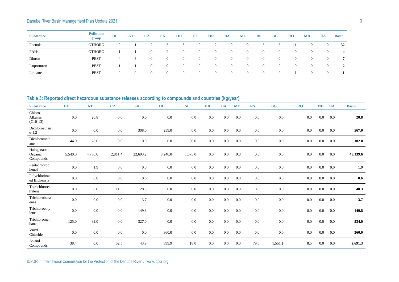| <b>Substance</b> | <b>Pollutant</b><br>group | <b>DE</b> | <b>AT</b> | CZ       | <b>SK</b> | HU       | SI             | <b>HR</b> | <b>BA</b> | <b>ME</b> | <b>RS</b> | <b>BG</b> | $_{\rm R0}$ | <b>MD</b>      | <b>UA</b> | <b>Basin</b>   |
|------------------|---------------------------|-----------|-----------|----------|-----------|----------|----------------|-----------|-----------|-----------|-----------|-----------|-------------|----------------|-----------|----------------|
| Phenols          | <b>OTHORG</b>             |           |           | $\sim$   |           |          | $\overline{0}$ |           |           |           |           |           |             | $\overline{0}$ | 0         | 32             |
| PAHs             | <b>OTHORG</b>             |           |           |          |           | $\Omega$ | $\overline{0}$ |           |           | $\Omega$  | $\Omega$  | $\Omega$  | $\theta$    | $\overline{0}$ | 0         | 4              |
| Diuron           | <b>PEST</b>               |           |           |          | $\Omega$  | $\Omega$ | $\overline{0}$ |           |           |           | $\Omega$  | 0         | $\Omega$    | $\overline{0}$ |           | $\overline{ }$ |
| Isoproturon      | <b>PEST</b>               |           |           | $\left($ | $\Omega$  | $\Omega$ | $\Omega$       |           |           | $\Omega$  | $\Omega$  | $\Omega$  | $\theta$    | $\overline{0}$ | $\theta$  | $\gamma$       |
| Lindane          | <b>PEST</b>               |           | $\Omega$  |          |           | $\Omega$ | $\theta$       |           |           |           | $\left($  | $\Omega$  |             | $\overline{0}$ |           |                |

# **Table 3: Reported direct hazardous substance releases according to compounds and countries (kg/year)**

| <b>Substance</b>                    | DE      | <b>AT</b> | CZ      | <b>SK</b> | HU      | SI      | <b>HR</b> | <b>BA</b> | <b>ME</b> | <b>RS</b> | <b>BG</b> | RO      | MD  | <b>UA</b> | <b>Basin</b> |
|-------------------------------------|---------|-----------|---------|-----------|---------|---------|-----------|-----------|-----------|-----------|-----------|---------|-----|-----------|--------------|
| Chloro-<br>Alkanes<br>$(C10-13)$    | 0.0     | 20.8      | $0.0\,$ | 0.0       | 0.0     | 0.0     | 0.0       | 0.0       | 0.0       | 0.0       | $0.0\,$   | 0.0     | 0.0 | 0.0       | 20.8         |
| Dichloroethan<br>$e-1,2$            | 0.0     | 0.0       | $0.0\,$ | 308.0     | 259.0   | 0.0     | 0.0       | 0.0       | 0.0       | 0.0       | $0.0\,$   | 0.0     | 0.0 | 0.0       | 567.0        |
| Dichlorometh<br>ane                 | 44.0    | 28.0      | $0.0\,$ | 0.0       | 0.0     | 30.0    | 0.0       | 0.0       | 0.0       | 0.0       | 0.0       | 0.0     | 0.0 | 0.0       | 102.0        |
| Halogenated<br>Organic<br>Compounds | 5,540.0 | 4,780.0   | 2,811.4 | 22,693.2  | 8,240.0 | 1,075.0 | 0.0       | 0.0       | 0.0       | 0.0       | 0.0       | 0.0     | 0.0 | 0.0       | 45,139.6     |
| Pentachlorop<br>henol               | 0.0     | 1.9       | $0.0\,$ | 0.0       | $0.0\,$ | 0.0     | 0.0       | 0.0       | $0.0\,$   | 0.0       | 0.0       | 0.0     | 0.0 | 0.0       | 1.9          |
| Polychlorinat<br>ed Biphenyls       | 0.0     | 0.0       | $0.0\,$ | 0.6       | 0.0     | 0.0     | 0.0       | 0.0       | 0.0       | 0.0       | $0.0\,$   | 0.0     | 0.0 | 0.0       | $0.6\,$      |
| Tetrachloroet<br>hylene             | 0.0     | 0.0       | 11.5    | 28.8      | 0.0     | 0.0     | 0.0       | 0.0       | 0.0       | 0.0       | 0.0       | 0.0     | 0.0 | 0.0       | 40.3         |
| Trichlorobenz<br>enes               | 0.0     | 0.0       | $0.0\,$ | 3.7       | 0.0     | 0.0     | 0.0       | $0.0\,$   | 0.0       | 0.0       | $0.0\,$   | 0.0     | 0.0 | 0.0       | 3.7          |
| Trichloroethy<br>lene               | 0.0     | $0.0\,$   | $0.0\,$ | 149.8     | $0.0\,$ | 0.0     | 0.0       | $0.0\,$   | 0.0       | 0.0       | 0.0       | $0.0\,$ | 0.0 | 0.0       | 149.8        |
| Trichloromet<br>hane                | 125.0   | 82.0      | $0.0\,$ | 327.0     | 0.0     | 0.0     | 0.0       | $0.0\,$   | 0.0       | 0.0       | $0.0\,$   | 0.0     | 0.0 | 0.0       | 534.0        |
| Vinyl<br>Chloride                   | 0.0     | 0.0       | $0.0\,$ | 0.0       | 360.0   | 0.0     | 0.0       | $0.0\,$   | 0.0       | 0.0       | 0.0       | 0.0     | 0.0 | 0.0       | 360.0        |
| As and<br>Compounds                 | 38.4    | 0.0       | 52.5    | 43.9      | 899.9   | 18.0    | 0.0       | 0.0       | 0.0       | 79.0      | 1,551.1   | 8.5     | 0.0 | 0.0       | 2,691.3      |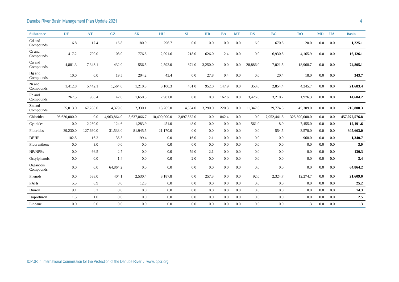| <b>Substance</b>       | <b>DE</b>    | <b>AT</b> | CZ          | <b>SK</b>   | HU           | SI          | <b>HR</b> | <b>BA</b> | <b>ME</b> | <b>RS</b> | <b>BG</b>   | <b>RO</b>     | <b>MD</b> | <b>UA</b> | <b>Basin</b>  |
|------------------------|--------------|-----------|-------------|-------------|--------------|-------------|-----------|-----------|-----------|-----------|-------------|---------------|-----------|-----------|---------------|
| Cd and<br>Compounds    | 16.8         | 17.4      | 16.8        | 180.9       | 296.7        | 0.0         | 0.0       | 0.0       | 0.0       | 6.0       | 670.5       | 20.0          | 0.0       | 0.0       | 1,225.1       |
| Cr and<br>Compounds    | 417.2        | 790.0     | 108.0       | 776.5       | 2,091.6      | 218.0       | 626.0     | 2.4       | 0.0       | 0.0       | 6,930.5     | 4,165.9       | 0.0       | 0.0       | 16,126.1      |
| Cu and<br>Compounds    | 4,881.3      | 7,343.1   | 432.0       | 556.5       | 2,592.0      | 874.0       | 3,250.0   | 0.0       | 0.0       | 28,886.0  | 7,021.5     | 18,968.7      | 0.0       | 0.0       | 74,805.1      |
| Hg and<br>Compounds    | 10.0         | 0.0       | 19.5        | 204.2       | 43.4         | 0.0         | 27.8      | 0.4       | 0.0       | 0.0       | 20.4        | 18.0          | 0.0       | 0.0       | 343.7         |
| Ni and<br>Compounds    | 1,412.8      | 5,442.1   | 1,564.0     | 1,210.3     | 3,100.3      | 401.0       | 952.0     | 147.9     | 0.0       | 353.0     | 2,854.4     | 4,245.7       | 0.0       | 0.0       | 21,683.4      |
| Pb and<br>Compounds    | 267.5        | 968.4     | 42.0        | 1,650.3     | 2,901.0      | 0.0         | 0.0       | 162.6     | 0.0       | 3,426.0   | 3,210.2     | 1,976.3       | 0.0       | 0.0       | 14,604.2      |
| Zn and<br>Compounds    | 35,013.0     | 67,288.0  | 4,379.6     | 2,330.1     | 13,265.0     | 4,584.0     | 3,290.0   | 220.3     | 0.0       | 11,347.0  | 29,774.3    | 45,309.0      | 0.0       | 0.0       | 216,800.3     |
| Chlorides              | 96,630,000.0 | 0.0       | 4,963,864.0 | 8.637.866.7 | 10.400,000.0 | 2.897.562.0 | 0.0       | 842.4     | 0.0       | 0.0       | 7,952,441.8 | 325,590,000.0 | 0.0       | 0.0       | 457,072,576.8 |
| Cyanides               | 0.0          | 2,260.0   | 124.6       | 1,283.9     | 451.0        | 48.0        | 0.0       | 0.0       | 0.0       | 561.0     | 8.0         | 7,455.0       | 0.0       | 0.0       | 12,191.6      |
| Fluorides              | 39,230.0     | 127,660.0 | 31,533.0    | 81,945.5    | 21,170.0     | 0.0         | 0.0       | 0.0       | 0.0       | 0.0       | 554.5       | 3,570.0       | 0.0       | 0.0       | 305,663.0     |
| <b>DEHP</b>            | 102.5        | 16.2      | 36.5        | 199.4       | 0.0          | 16.0        | 2.1       | 0.0       | 0.0       | 0.0       | 0.0         | 968.0         | 0.0       | 0.0       | 1,340.7       |
| Fluoranthene           | 0.0          | 3.0       | 0.0         | 0.0         | 0.0          | 0.0         | 0.0       | 0.0       | 0.0       | 0.0       | 0.0         | 0.0           | 0.0       | 0.0       | 3.0           |
| NP/NPEs                | 0.0          | 66.5      | 2.7         | 0.0         | 0.0          | 59.0        | 2.1       | 0.0       | 0.0       | 0.0       | 0.0         | 0.0           | 0.0       | 0.0       | 130.3         |
| Octylphenols           | 0.0          | 0.0       | 1.4         | 0.0         | 0.0          | 2.0         | 0.0       | 0.0       | 0.0       | 0.0       | 0.0         | 0.0           | 0.0       | 0.0       | 3.4           |
| Organotin<br>Compounds | 0.0          | 0.0       | 64,864.2    | $0.0\,$     | 0.0          | $0.0\,$     | 0.0       | $0.0\,$   | $0.0\,$   | 0.0       | $0.0\,$     | 0.0           | $0.0\,$   | $0.0\,$   | 64,864.2      |
| Phenols                | 0.0          | 538.0     | 404.1       | 2,530.4     | 3,187.8      | 0.0         | 257.3     | 0.0       | 0.0       | 92.0      | 2,324.7     | 12,274.7      | 0.0       | 0.0       | 21,609.0      |
| PAHs                   | 5.5          | 6.9       | 0.0         | 12.8        | 0.0          | 0.0         | 0.0       | 0.0       | 0.0       | 0.0       | 0.0         | 0.0           | 0.0       | 0.0       | 25.2          |
| Diuron                 | 9.1          | 5.2       | 0.0         | $0.0\,$     | 0.0          | 0.0         | 0.0       | 0.0       | 0.0       | 0.0       | 0.0         | 0.0           | 0.0       | 0.0       | 14.3          |
| Isoproturon            | 1.5          | 1.0       | 0.0         | 0.0         | 0.0          | 0.0         | 0.0       | 0.0       | 0.0       | 0.0       | 0.0         | 0.0           | 0.0       | 0.0       | $2.5\,$       |
| Lindane                | 0.0          | 0.0       | 0.0         | $0.0\,$     | $0.0\,$      | 0.0         | 0.0       | 0.0       | 0.0       | 0.0       | 0.0         | 1.3           | 0.0       | $0.0\,$   | 1.3           |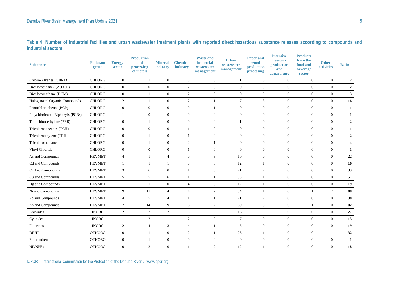**Table 4: Number of industrial facilities and urban wastewater treatment plants with reported direct hazardous substance releases according to compounds and industrial sectors**

| <b>Substance</b>                 | <b>Pollutant</b><br>group | <b>Energy</b><br>sector | <b>Production</b><br>and<br>processing<br>of metals | <b>Mineral</b><br>industry | <b>Chemical</b><br>industry | <b>Waste and</b><br>industrial<br>wastewater<br>management | <b>Urban</b><br>wastewater<br>management | <b>Paper and</b><br>wood<br>production<br>processing | <b>Intensive</b><br><b>livestock</b><br>production<br>and<br>aquaculture | <b>Products</b><br>from the<br>food and<br>beverage<br>sector | <b>Other</b><br>activities | <b>Basin</b>            |
|----------------------------------|---------------------------|-------------------------|-----------------------------------------------------|----------------------------|-----------------------------|------------------------------------------------------------|------------------------------------------|------------------------------------------------------|--------------------------------------------------------------------------|---------------------------------------------------------------|----------------------------|-------------------------|
| Chloro-Alkanes (C10-13)          | <b>CHLORG</b>             | $\mathbf{0}$            |                                                     | $\overline{0}$             | $\overline{0}$              | $\mathbf{0}$                                               | $\overline{1}$                           | $\mathbf{0}$                                         | $\boldsymbol{0}$                                                         | $\mathbf{0}$                                                  | $\mathbf{0}$               | $\overline{2}$          |
| Dichloroethane-1,2 (DCE)         | <b>CHLORG</b>             | $\mathbf{0}$            | $\overline{0}$                                      | $\boldsymbol{0}$           | $\overline{2}$              | $\mathbf{0}$                                               | $\mathbf{0}$                             | $\mathbf{0}$                                         | $\boldsymbol{0}$                                                         | $\boldsymbol{0}$                                              | $\mathbf{0}$               | $\overline{2}$          |
| Dichloromethane (DCM)            | <b>CHLORG</b>             | $\mathbf{0}$            | $\overline{1}$                                      | $\overline{0}$             | 2                           | $\mathbf{0}$                                               | $\mathbf{0}$                             | $\mathbf{0}$                                         | $\boldsymbol{0}$                                                         | $\boldsymbol{0}$                                              | $\mathbf{0}$               | $\mathbf{3}$            |
| Halogenated Organic Compounds    | <b>CHLORG</b>             | $\overline{2}$          | $\overline{1}$                                      | $\mathbf{0}$               | $\overline{2}$              | $\mathbf{1}$                                               | $\overline{7}$                           | 3                                                    | $\boldsymbol{0}$                                                         | $\overline{0}$                                                | $\mathbf{0}$               | 16                      |
| Pentachlorophenol (PCP)          | <b>CHLORG</b>             | $\mathbf{0}$            | $\overline{0}$                                      | $\overline{0}$             | $\overline{0}$              | $\mathbf{1}$                                               | $\mathbf{0}$                             | $\mathbf{0}$                                         | $\overline{0}$                                                           | $\overline{0}$                                                | $\mathbf{0}$               | $\mathbf{1}$            |
| Polychlorinated Biphenyls (PCBs) | <b>CHLORG</b>             | $\mathbf{1}$            | $\mathbf{0}$                                        | $\overline{0}$             | $\overline{0}$              | $\mathbf{0}$                                               | $\boldsymbol{0}$                         | $\mathbf{0}$                                         | $\mathbf{0}$                                                             | $\overline{0}$                                                | $\mathbf{0}$               | 1                       |
| Tetrachloroethylene (PER)        | <b>CHLORG</b>             | $\mathbf{0}$            | $\mathbf{1}$                                        | $\overline{0}$             | $\overline{0}$              | $\overline{0}$                                             | $\overline{1}$                           | $\mathbf{0}$                                         | $\overline{0}$                                                           | $\overline{0}$                                                | $\mathbf{0}$               | $\overline{2}$          |
| Trichlorobenzenes (TCH)          | <b>CHLORG</b>             | $\mathbf{0}$            | $\overline{0}$                                      | $\overline{0}$             | $\overline{1}$              | $\mathbf{0}$                                               | $\mathbf{0}$                             | $\mathbf{0}$                                         | $\overline{0}$                                                           | $\overline{0}$                                                | $\mathbf{0}$               | $\mathbf{1}$            |
| Trichloroethylene (TRI)          | <b>CHLORG</b>             | $\mathbf{0}$            | $\overline{1}$                                      | $\mathbf{0}$               | $\overline{1}$              | $\mathbf{0}$                                               | $\boldsymbol{0}$                         | $\boldsymbol{0}$                                     | $\boldsymbol{0}$                                                         | $\boldsymbol{0}$                                              | $\mathbf{0}$               | $\overline{2}$          |
| Trichloromethane                 | <b>CHLORG</b>             | $\mathbf{0}$            | 1                                                   | $\boldsymbol{0}$           | $\overline{2}$              | $\mathbf{1}$                                               | $\mathbf{0}$                             | $\mathbf{0}$                                         | $\boldsymbol{0}$                                                         | $\overline{0}$                                                | $\mathbf{0}$               | $\overline{\mathbf{4}}$ |
| Vinyl Chloride                   | <b>CHLORG</b>             | $\overline{0}$          | $\mathbf{0}$                                        | $\overline{0}$             | $\overline{1}$              | $\theta$                                                   | $\mathbf{0}$                             | $\overline{0}$                                       | $\overline{0}$                                                           | $\overline{0}$                                                | $\mathbf{0}$               | $\mathbf{1}$            |
| As and Compounds                 | <b>HEVMET</b>             | $\overline{4}$          |                                                     | $\overline{4}$             | $\overline{0}$              | 3                                                          | 10                                       | $\mathbf{0}$                                         | $\boldsymbol{0}$                                                         | $\overline{0}$                                                | $\mathbf{0}$               | 22                      |
| Cd and Compounds                 | <b>HEVMET</b>             | $\mathbf{1}$            |                                                     | $\mathbf{1}$               | $\mathbf{0}$                | $\mathbf{0}$                                               | 12                                       |                                                      | $\boldsymbol{0}$                                                         | $\boldsymbol{0}$                                              | $\boldsymbol{0}$           | 16                      |
| Cr And Compounds                 | <b>HEVMET</b>             | 3                       | 6                                                   | $\mathbf{0}$               | $\overline{1}$              | $\mathbf{0}$                                               | 21                                       | $\overline{2}$                                       | $\boldsymbol{0}$                                                         | $\overline{0}$                                                | $\mathbf{0}$               | 33                      |
| Cu and Compounds                 | <b>HEVMET</b>             | 5                       | 5                                                   | $6\,$                      | $\mathbf{1}$                | $\mathbf{1}$                                               | 38                                       | $\overline{1}$                                       | $\boldsymbol{0}$                                                         | $\boldsymbol{0}$                                              | $\mathbf{0}$               | 57                      |
| Hg and Compounds                 | <b>HEVMET</b>             | $\mathbf{1}$            | $\mathbf{1}$                                        | $\mathbf{0}$               | $\overline{4}$              | $\mathbf{0}$                                               | 12                                       | $\overline{1}$                                       | $\boldsymbol{0}$                                                         | $\overline{0}$                                                | $\mathbf{0}$               | 19                      |
| Ni and Compounds                 | <b>HEVMET</b>             | 9                       | 11                                                  | $\overline{4}$             | $\overline{4}$              | $\overline{2}$                                             | 54                                       | $\overline{1}$                                       | $\boldsymbol{0}$                                                         | $\overline{1}$                                                | 2                          | 88                      |
| Pb and Compounds                 | <b>HEVMET</b>             | $\overline{4}$          | 5                                                   | $\overline{4}$             | $\mathbf{1}$                | 1                                                          | 21                                       | $\overline{2}$                                       | $\boldsymbol{0}$                                                         | $\boldsymbol{0}$                                              | $\boldsymbol{0}$           | 38                      |
| Zn and Compounds                 | <b>HEVMET</b>             | $\tau$                  | 14                                                  | 9                          | 6                           | $\mathbf{2}$                                               | 60                                       | 3                                                    | $\boldsymbol{0}$                                                         | $\mathbf{1}$                                                  | $\mathbf{0}$               | 102                     |
| Chlorides                        | <b>INORG</b>              | $\overline{2}$          | 2                                                   | $\overline{2}$             | 5                           | $\mathbf{0}$                                               | 16                                       | $\mathbf{0}$                                         | $\boldsymbol{0}$                                                         | $\mathbf{0}$                                                  | $\mathbf{0}$               | 27                      |
| Cyanides                         | <b>INORG</b>              | $\mathbf{1}$            | 2                                                   | $\mathbf{1}$               | 2                           | $\mathbf{0}$                                               | 7                                        | $\mathbf{0}$                                         | $\boldsymbol{0}$                                                         | $\boldsymbol{0}$                                              | $\mathbf{0}$               | 13                      |
| Fluorides                        | <b>INORG</b>              | 2                       | $\overline{4}$                                      | 3                          | $\overline{4}$              | $\mathbf{1}$                                               | 5                                        | $\overline{0}$                                       | $\overline{0}$                                                           | $\overline{0}$                                                | $\mathbf{0}$               | 19                      |
| <b>DEHP</b>                      | <b>OTHORG</b>             | $\mathbf{0}$            |                                                     | $\overline{0}$             | 2                           | $\mathbf{1}$                                               | 26                                       |                                                      | $\overline{0}$                                                           | $\overline{0}$                                                | $\overline{1}$             | 32                      |
| Fluoranthene                     | <b>OTHORG</b>             | $\mathbf{0}$            |                                                     | $\boldsymbol{0}$           | $\mathbf{0}$                | $\mathbf{0}$                                               | $\boldsymbol{0}$                         | $\mathbf{0}$                                         | $\boldsymbol{0}$                                                         | $\boldsymbol{0}$                                              | $\mathbf{0}$               | $\mathbf{1}$            |
| NP/NPEs                          | <b>OTHORG</b>             | $\overline{0}$          | $\overline{2}$                                      | $\overline{0}$             | $\mathbf{1}$                | $\overline{2}$                                             | 12                                       | $\overline{1}$                                       | $\mathbf{0}$                                                             | $\overline{0}$                                                | $\mathbf{0}$               | 18                      |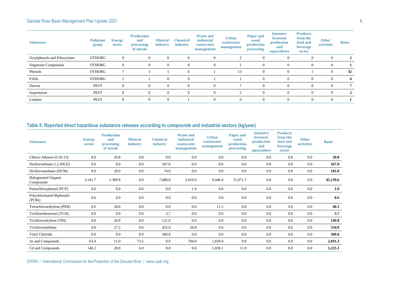| <b>Substance</b>             | <b>Pollutant</b><br>group | <b>Energy</b><br>sector | <b>Production</b><br>and<br>processing<br>of metals | <b>Mineral</b><br>industry | <b>Chemical</b><br>industry | <b>Waste and</b><br>industrial<br>wastewater<br>management | <b>Urban</b><br>wastewater<br>management | <b>Paper and</b><br>wood<br>production<br>processing | <b>Intensive</b><br>livestock<br>production<br>and<br>aquaculture | <b>Products</b><br>from the<br>food and<br>beverage<br>sector | <b>Other</b><br>activities | <b>Basin</b> |
|------------------------------|---------------------------|-------------------------|-----------------------------------------------------|----------------------------|-----------------------------|------------------------------------------------------------|------------------------------------------|------------------------------------------------------|-------------------------------------------------------------------|---------------------------------------------------------------|----------------------------|--------------|
| Octylphenols and Ethoxylates | <b>OTHORG</b>             | $\theta$                | $\overline{0}$                                      | $\mathbf{0}$               | $\theta$                    | $\Omega$                                                   |                                          | $\mathbf{0}$                                         | $\overline{0}$                                                    | $\overline{0}$                                                | $\overline{0}$             | 2            |
| Organotin Compounds          | <b>OTHORG</b>             | $\Omega$                | $\Omega$                                            | $\theta$                   |                             |                                                            |                                          | $\mathbf{0}$                                         | $\overline{0}$                                                    | O                                                             |                            |              |
| Phenols                      | <b>OTHORG</b>             |                         |                                                     |                            | h                           |                                                            | 13                                       | $\Omega$                                             | $\Omega$                                                          |                                                               |                            | 32           |
| PAHs                         | <b>OTHORG</b>             |                         |                                                     | $\overline{0}$             | $\Omega$                    |                                                            |                                          | $\Omega$                                             | $\Omega$                                                          | $\theta$                                                      |                            |              |
| Diuron                       | <b>PEST</b>               |                         | $\Omega$                                            | $\overline{0}$             |                             |                                                            |                                          | $\Omega$                                             | $\Omega$                                                          | $\left($                                                      |                            |              |
| Isoproturon                  | <b>PEST</b>               | $\Omega$                | $\Omega$                                            | $\overline{0}$             | $\Omega$                    | $\Omega$                                                   |                                          | $\Omega$                                             | $\Omega$                                                          | $\Omega$                                                      | $\Omega$                   | 2            |
| Lindane                      | <b>PEST</b>               | $\Omega$                | $\overline{0}$                                      | $\overline{0}$             |                             | $\Omega$                                                   | $\overline{0}$                           | $\mathbf{0}$                                         | $\theta$                                                          | $\theta$                                                      | $\theta$                   |              |

# **Table 5: Reported direct hazardous substance releases according to compounds and industrial sectors (kg/year)**

| <b>Substance</b>                    | <b>Energy</b><br>sector | <b>Production</b><br>and<br>processing<br>of metals | <b>Mineral</b><br>industry | <b>Chemical</b><br>industry | <b>Waste and</b><br><i>industrial</i><br>wastewater<br>management | <b>Urban</b><br>wastewater<br>management | <b>Paper and</b><br>wood<br>production<br>processing | <b>Intensive</b><br><b>livestock</b><br>production<br>and<br>aquaculture | <b>Products</b><br>from the<br>food and<br><b>beverage</b><br>sector | <b>Other</b><br><b>activities</b> | <b>Basin</b> |
|-------------------------------------|-------------------------|-----------------------------------------------------|----------------------------|-----------------------------|-------------------------------------------------------------------|------------------------------------------|------------------------------------------------------|--------------------------------------------------------------------------|----------------------------------------------------------------------|-----------------------------------|--------------|
| Chloro-Alkanes (C10-13)             | 0.0                     | 20.8                                                | 0.0                        | 0.0                         | 0.0                                                               | 0.0                                      | 0.0                                                  | 0.0                                                                      | 0.0                                                                  | 0.0                               | 20.8         |
| Dichloroethane-1,2 (DCE)            | 0.0                     | 0.0                                                 | 0.0                        | 567.0                       | 0.0                                                               | 0.0                                      | 0.0                                                  | 0.0                                                                      | 0.0                                                                  | 0.0                               | 567.0        |
| Dichloromethane (DCM)               | 0.0                     | 28.0                                                | 0.0                        | 74.0                        | 0.0                                                               | 0.0                                      | 0.0                                                  | 0.0                                                                      | 0.0                                                                  | 0.0                               | 102.0        |
| Halogenated Organic<br>Compounds    | 3,141.7                 | 1,389.8                                             | 0.0                        | 7,480.0                     | 2,610.0                                                           | 9,446.4                                  | 21,071.7                                             | 0.0                                                                      | 0.0                                                                  | 0.0                               | 45,139.6     |
| Pentachlorophenol (PCP)             | 0.0                     | 0.0                                                 | 0.0                        | 0.0                         | 1.9                                                               | 0.0                                      | 0.0                                                  | 0.0                                                                      | 0.0                                                                  | 0.0                               | 1.9          |
| Polychlorinated Biphenyls<br>(PCBs) | 0.6                     | 0.0                                                 | 0.0                        | 0.0                         | 0.0                                                               | 0.0                                      | 0.0                                                  | 0.0                                                                      | 0.0                                                                  | 0.0                               | 0.6          |
| Tetrachloroethylene (PER)           | 0.0                     | 28.8                                                | 0.0                        | 0.0                         | 0.0                                                               | 11.5                                     | 0.0                                                  | 0.0                                                                      | 0.0                                                                  | 0.0                               | 40.3         |
| Trichlorobenzenes (TCH)             | 0.0                     | 0.0                                                 | 0.0                        | 3.7                         | 0.0                                                               | 0.0                                      | 0.0                                                  | 0.0                                                                      | 0.0                                                                  | 0.0                               | 3.7          |
| Trichloroethylene (TRI)             | 0.0                     | 28.8                                                | 0.0                        | 121.0                       | 0.0                                                               | 0.0                                      | 0.0                                                  | 0.0                                                                      | 0.0                                                                  | 0.0                               | 149.8        |
| Trichloromethane                    | 0.0                     | 27.2                                                | 0.0                        | 452.0                       | 54.8                                                              | 0.0                                      | 0.0                                                  | 0.0                                                                      | 0.0                                                                  | 0.0                               | 534.0        |
| Vinyl Chloride                      | 0.0                     | 0.0                                                 | 0.0                        | 360.0                       | 0.0                                                               | 0.0                                      | 0.0                                                  | 0.0                                                                      | 0.0                                                                  | 0.0                               | 360.0        |
| As and Compounds                    | 63.4                    | 11.0                                                | 73.5                       | 0.0                         | 704.0                                                             | 1,839.4                                  | 0.0                                                  | 0.0                                                                      | 0.0                                                                  | 0.0                               | 2,691.3      |
| Cd and Compounds                    | 140.2                   | 28.8                                                | 6.0                        | 0.0                         | 0.0                                                               | 1,038.1                                  | 11.9                                                 | 0.0                                                                      | 0.0                                                                  | 0.0                               | 1,225.1      |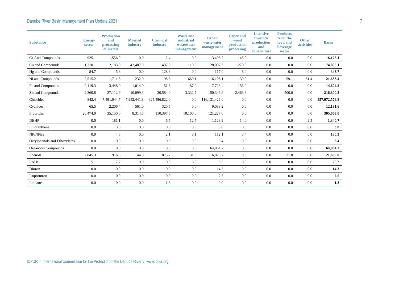| <b>Substance</b>             | <b>Energy</b><br>sector | <b>Production</b><br>and<br>processing<br>of metals | <b>Mineral</b><br>industry | <b>Chemical</b><br>industry | <b>Waste and</b><br><i>industrial</i><br>wastewater<br>management | <b>Urban</b><br>wastewater<br>management | <b>Paper and</b><br>wood<br>production<br>processing | <b>Intensive</b><br><b>livestock</b><br>production<br>and<br>aquaculture | <b>Products</b><br>from the<br>food and<br>beverage<br>sector | <b>Other</b><br><b>activities</b> | <b>Basin</b>  |
|------------------------------|-------------------------|-----------------------------------------------------|----------------------------|-----------------------------|-------------------------------------------------------------------|------------------------------------------|------------------------------------------------------|--------------------------------------------------------------------------|---------------------------------------------------------------|-----------------------------------|---------------|
| Cr And Compounds             | 925.1                   | 1,556.9                                             | 0.0                        | 2.4                         | 0.0                                                               | 13,496.7                                 | 145.0                                                | 0.0                                                                      | 0.0                                                           | 0.0                               | 16,126.1      |
| Cu and Compounds             | 1,310.1                 | 2,183.0                                             | 42,487.0                   | 437.0                       | 110.5                                                             | 28,007.5                                 | 270.0                                                | 0.0                                                                      | 0.0                                                           | 0.0                               | 74,805.1      |
| Hg and Compounds             | 84.7                    | 5.8                                                 | 0.0                        | 128.3                       | 0.0                                                               | 117.0                                    | 8.0                                                  | 0.0                                                                      | 0.0                                                           | 0.0                               | 343.7         |
| Ni and Compounds             | 2,515.2                 | 1,711.8                                             | 232.0                      | 198.8                       | 660.1                                                             | 16,106.1                                 | 139.0                                                | 0.0                                                                      | 59.1                                                          | 61.4                              | 21,683.4      |
| Pb and Compounds             | 2,119.3                 | 3,448.0                                             | 1,014.0                    | 51.6                        | 87.0                                                              | 7,728.4                                  | 156.0                                                | 0.0                                                                      | 0.0                                                           | 0.0                               | 14,604.2      |
| Zn and Compounds             | 2,360.8                 | 27,112.9                                            | 10,099.3                   | 20,584.0                    | 3,332.7                                                           | 150,346.8                                | 2,463.8                                              | 0.0                                                                      | 500.0                                                         | 0.0                               | 216,800.3     |
| Chlorides                    | 842.4                   | 7,491,044.7                                         | 7,952,441.8                | 325,496,822.0               | 0.0                                                               | 116, 131, 426.0                          | 0.0                                                  | 0.0                                                                      | 0.0                                                           | 0.0                               | 457,072,576.8 |
| Cyanides                     | 65.5                    | 2,206.4                                             | 561.0                      | 320.5                       | 0.0                                                               | 9,038.2                                  | 0.0                                                  | 0.0                                                                      | 0.0                                                           | 0.0                               | 12,191.6      |
| Fluorides                    | 20,474.0                | 35,150.0                                            | 8,314.5                    | 110,397.5                   | 10,100.0                                                          | 121,227.0                                | 0.0                                                  | 0.0                                                                      | 0.0                                                           | 0.0                               | 305,663.0     |
| <b>DEHP</b>                  | 0.0                     | 181.1                                               | 0.0                        | 6.5                         | 12.7                                                              | 1,123.9                                  | 14.0                                                 | 0.0                                                                      | 0.0                                                           | 2.5                               | 1,340.7       |
| Fluoranthene                 | 0.0                     | 3.0                                                 | 0.0                        | 0.0                         | 0.0                                                               | 0.0                                      | 0.0                                                  | 0.0                                                                      | 0.0                                                           | 0.0                               | 3.0           |
| NP/NPEs                      | 0.0                     | 4.5                                                 | $0.0\,$                    | 2.1                         | 8.1                                                               | 112.1                                    | 3.4                                                  | 0.0                                                                      | 0.0                                                           | 0.0                               | 130.3         |
| Octylphenols and Ethoxylates | 0.0                     | 0.0                                                 | 0.0                        | 0.0                         | 0.0                                                               | 3.4                                      | 0.0                                                  | 0.0                                                                      | 0.0                                                           | 0.0                               | 3.4           |
| <b>Organotin Compounds</b>   | 0.0                     | 0.0                                                 | 0.0                        | 0.0                         | 0.0                                                               | 64,864.2                                 | 0.0                                                  | 0.0                                                                      | 0.0                                                           | 0.0                               | 64,864.2      |
| Phenols                      | 2,845.3                 | 916.3                                               | 44.0                       | 875.7                       | 31.0                                                              | 16,875.7                                 | 0.0                                                  | 0.0                                                                      | 21.0                                                          | 0.0                               | 21,609.0      |
| PAHs                         | 5.1                     | 7.7                                                 | 0.0                        | 0.0                         | 6.9                                                               | 5.5                                      | 0.0                                                  | 0.0                                                                      | 0.0                                                           | 0.0                               | 25.2          |
| Diuron                       | 0.0                     | 0.0                                                 | 0.0                        | 0.0                         | 0.0                                                               | 14.3                                     | 0.0                                                  | 0.0                                                                      | 0.0                                                           | 0.0                               | 14.3          |
| Isoproturon                  | 0.0                     | 0.0                                                 | 0.0                        | 0.0                         | 0.0                                                               | 2.5                                      | 0.0                                                  | 0.0                                                                      | 0.0                                                           | 0.0                               | 2.5           |
| Lindane                      | 0.0                     | 0.0                                                 | 0.0                        | 1.3                         | 0.0                                                               | 0.0                                      | 0.0                                                  | 0.0                                                                      | 0.0                                                           | 0.0                               | 1.3           |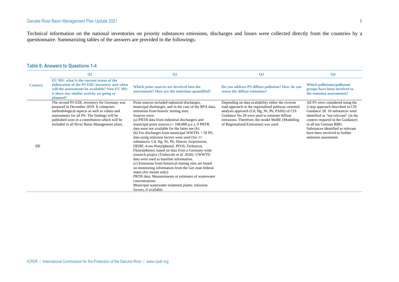Technical information on the national inventories on priority substances emissions, discharges and losses were collected directly from the countries by a questionnaire. Summarizing tables of the answers are provided in the followings.

|                | $\mathbf{Q}$                                                                                                                                                                                                                                                                              | Q <sub>2</sub>                                                                                                                                                                                                                                                                                                                                                                                                                                                                                                                                                                                                                                                                                                                                                                                                                                                                                                                                                                                  | Q <sub>3</sub>                                                                                                                                                                                                                                                                                         | Q <sub>4</sub>                                                                                                                                                                                                                                                                                               |
|----------------|-------------------------------------------------------------------------------------------------------------------------------------------------------------------------------------------------------------------------------------------------------------------------------------------|-------------------------------------------------------------------------------------------------------------------------------------------------------------------------------------------------------------------------------------------------------------------------------------------------------------------------------------------------------------------------------------------------------------------------------------------------------------------------------------------------------------------------------------------------------------------------------------------------------------------------------------------------------------------------------------------------------------------------------------------------------------------------------------------------------------------------------------------------------------------------------------------------------------------------------------------------------------------------------------------------|--------------------------------------------------------------------------------------------------------------------------------------------------------------------------------------------------------------------------------------------------------------------------------------------------------|--------------------------------------------------------------------------------------------------------------------------------------------------------------------------------------------------------------------------------------------------------------------------------------------------------------|
| <b>Country</b> | EU MS: what is the current status of the<br>elaboration of the PS EDL inventory and when<br>will the assessments be available? Non-EU MS:<br>is there any similar activity on-going or<br>planned?                                                                                        | Which point sources are involved into the<br>assessments? How are the emissions quantified?                                                                                                                                                                                                                                                                                                                                                                                                                                                                                                                                                                                                                                                                                                                                                                                                                                                                                                     | Do you address PS diffuse pollution? How do you<br>assess the diffuse emissions?                                                                                                                                                                                                                       | Which pollutants/pollutant<br>groups have been involved to<br>the emission assessments?                                                                                                                                                                                                                      |
| DE             | The second PS EDL inventory for Germany was<br>prepared in December 2019. It comprises<br>methodological aspects as well as values and<br>assessments for all PS. The findings will be<br>published soon in a contribution which will be<br>included in all River Basin Management plans. | Point sources included industrial discharges,<br>municipal discharges, and in the case of the RPA data,<br>emissions from historic mining sites.<br>Sources were:<br>(a) PRTR data from industrial dischargers and<br>municipal point sources $(>100,000 \text{ p.e.})$ , if PRTR<br>data were not available for the latter see (b).<br>(b) For discharges from municipal WWTPs $>$ 50 PE,<br>data using emission factors were used (for 11<br>substances: Cd, Hg, Ni, Pb, Diuron, Isoproturon,<br>DEHP, 4-iso-Nonylphenol, PFOS, Terbutryn,<br>Fluoranthene), based on data from a Germany-wide<br>research project (Toshovski et al. 2020). UWWTD<br>data were used as baseline information.<br>(c) Emissions from historical mining sites are based<br>on monitoring information from the Ger-man federal<br>states (for metals only).<br>PRTR data: Measurements or estimates of wastewater<br>concentrations.<br>Municipal wastewater treatment plants: emission<br>factors, if available. | Depending on data availability either the riverine<br>load approach or the regionalised pathway-oriented<br>analysis approach (Cd, Hg, Ni, Pb, PAHs) of CIS<br>Guidance No 28 were used to estimate diffuse<br>emissions. Therefore, the model MoRE (Modelling<br>of Regionalized Emissions) was used. | All PS were considered using the<br>2-step approach described in CIS<br>Guidance 28, 16 substances were<br>identified as "not relevant" (in the<br>context required in the Guidance)<br>in all ten German RBD.<br>Substances identified as relevant<br>have been involved to further<br>emission assessment. |

## **Table 6: Answers to Questions 1-4**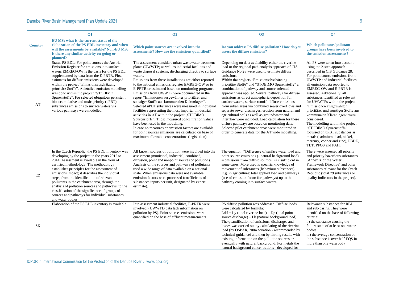|                     | $\overline{O1}$                                                                                                                                                                                                                                                                                                                                                                                                                                                                                                                                                             | Q <sub>2</sub>                                                                                                                                                                                                                                                                                                                                                                                                                                                                                                                                                                                                                                                                                                                                                                                                                                                                                                                          | Q3                                                                                                                                                                                                                                                                                                                                                                                                                                                                                                                                                                                                                                                                                                                                                                                                                                                               | Q <sub>4</sub>                                                                                                                                                                                                                                                                                                                                                                                                                                                                                                                                                                                                                                           |
|---------------------|-----------------------------------------------------------------------------------------------------------------------------------------------------------------------------------------------------------------------------------------------------------------------------------------------------------------------------------------------------------------------------------------------------------------------------------------------------------------------------------------------------------------------------------------------------------------------------|-----------------------------------------------------------------------------------------------------------------------------------------------------------------------------------------------------------------------------------------------------------------------------------------------------------------------------------------------------------------------------------------------------------------------------------------------------------------------------------------------------------------------------------------------------------------------------------------------------------------------------------------------------------------------------------------------------------------------------------------------------------------------------------------------------------------------------------------------------------------------------------------------------------------------------------------|------------------------------------------------------------------------------------------------------------------------------------------------------------------------------------------------------------------------------------------------------------------------------------------------------------------------------------------------------------------------------------------------------------------------------------------------------------------------------------------------------------------------------------------------------------------------------------------------------------------------------------------------------------------------------------------------------------------------------------------------------------------------------------------------------------------------------------------------------------------|----------------------------------------------------------------------------------------------------------------------------------------------------------------------------------------------------------------------------------------------------------------------------------------------------------------------------------------------------------------------------------------------------------------------------------------------------------------------------------------------------------------------------------------------------------------------------------------------------------------------------------------------------------|
| <b>Country</b>      | EU MS: what is the current status of the<br>elaboration of the PS EDL inventory and when<br>will the assessments be available? Non-EU MS:<br>is there any similar activity on-going or<br>planned?                                                                                                                                                                                                                                                                                                                                                                          | Which point sources are involved into the<br>assessments? How are the emissions quantified?                                                                                                                                                                                                                                                                                                                                                                                                                                                                                                                                                                                                                                                                                                                                                                                                                                             | Do you address PS diffuse pollution? How do you<br>assess the diffuse emissions?                                                                                                                                                                                                                                                                                                                                                                                                                                                                                                                                                                                                                                                                                                                                                                                 | <b>Which pollutants/pollutant</b><br>groups have been involved to<br>the emission assessments?                                                                                                                                                                                                                                                                                                                                                                                                                                                                                                                                                           |
| AT                  | Status PS EDL: For point sources the Austrian<br>Emission Register for emissions into surface<br>waters EMREG-OW is the basis for the PS EDL<br>supplemented by data from the E-PRTR. First<br>estimates for diffuse emissions were developed<br>within the project "Emissionsabschätzung<br>prioritäre Stoffe". A detailed emission modelling<br>was done within the project "STOBIMO<br>Spurenstoffe". For selected ubiquitous persistent,<br>bioaccumulative and toxic priority (uPBT)<br>substances emissions to surface waters via<br>various pathways were modelled.  | The assessment considers urban wastewater treatment<br>plants (UWWTP) as well as industrial facilities and<br>waste disposal systems, discharging directly to surface<br>waters.<br>Emissions from these installations are either reported<br>to the national emissions register EMREG-OW or to<br>E-PRTR or estimated based on monitoring programs.<br>Emissions from UWWTP were documented in the<br>report "Emissionen ausgewählter prioritärer und<br>sonstiger Stoffe aus kommunalen Kläranlagen".<br>Selected uPBT substances were measured in industrial<br>facilities representing the most important industrial<br>activities in AT within the project "STOBIMO<br>Spurenstoffe". Those measured concentration values<br>have been used in the modelling.<br>In case no measures or emission factors are available<br>for point sources emissions are calculated on base of<br>maximum allowable concentrations (legislation). | Depending on data availability either the riverine<br>load or the regional path analysis approach of CIS<br>Guidance No 28 were used to estimate diffuse<br>emissions.<br>Within the projects "Emissionsabschätzung<br>prioritäre Stoffe" und "STOBIMO Spurenstoffe" a<br>combination of pathway and source-oriented<br>approach was applied. Several pathways for diffuse<br>emissions as direct atmospheric deposition for<br>surface waters, surface runoff, diffuse emissions<br>from urban areas via combined sewer overflows and<br>separate sewer discharges, erosion from natural and<br>agricultural soils as well as groundwater and<br>interflow were included. Load calculation for these<br>diffuse pathways are based on monitoring data.<br>Selected pilot catchment areas were monitored in<br>order to generate data for the AT wide modelling. | All PS were taken into account<br>using the 2-step approach<br>described in CIS Guidance 28.<br>For point source emissions from<br>UWWTP and industrial facilities<br>all emission data reported to<br><b>EMREG-OW and E-PRTR is</b><br>assessed. Additionally, all<br>substances identified as relevant<br>for UWWTPs within the project<br>"Emissionen ausgewählter<br>prioritärer und sonstiger Stoffe aus<br>kommunalen Kläranlagen" were<br>considered.<br>The modelling within the project<br>"STOBIMO Spurenstoffe"<br>focussed on uPBT substances as<br>metals (cadmium, lead, nickel,<br>mercury, copper and zinc), PBDE,<br>TBT, PFOS and PAH. |
| $\operatorname{CZ}$ | In the Czech Republic, the PS EDL inventory was<br>developing by the project in the years 2012 to<br>2014. Assessment is available in the form of<br>certified methodology. The methodology<br>establishes principles for the assessment of<br>emissions impact; it describes the individual<br>steps, from the identification of relevant<br>pollutants in the catchment area, through the<br>analysis of pollution sources and pathways, to the<br>classification of the significance of groups of<br>sources and pathways for individual substances<br>and water bodies. | All known sources of pollution were involved into the<br>assessment (municipal, industrial, combined,<br>diffusion, point and nonpoint sources of pollution).<br>Analysis of the sources and pathways of pollutants<br>used a wide range of data available on a national<br>scale. When emissions data were not available,<br>emission factors were processed (coefficients of<br>substances inputs per unit, designated by expert<br>estimate).                                                                                                                                                                                                                                                                                                                                                                                                                                                                                        | The equation: "Difference of surface water load and<br>point source emissions (- natural background load)<br>$=$ emissions from diffuse sources" is insufficient in<br>some cases. More used is specific knowledge of<br>movement of substances (behaviour substances).<br>E.g. in agriculture: total applied load and pathways<br>(use of emission factor for pathways) up to the<br>pathway coming into surface waters.                                                                                                                                                                                                                                                                                                                                                                                                                                        | There were assessed all priority<br>and priority hazardous substances<br>(Annex X of the Water)<br>Framework Directive) and other<br>substances relevant for the Czech<br>Republic (total 79 substances or<br>quality indicators in the project).                                                                                                                                                                                                                                                                                                                                                                                                        |
| SK                  | Elaboration of the PS EDL inventory is available.                                                                                                                                                                                                                                                                                                                                                                                                                                                                                                                           | Into assessment industrial facilities, E-PRTR were<br>involved. (UWWTD data lack information on<br>pollution by PS). Point sources emissions were<br>quantified on the base of effluent measurements.                                                                                                                                                                                                                                                                                                                                                                                                                                                                                                                                                                                                                                                                                                                                   | PS diffuse pollution was addressed. Diffuse loads<br>were calculated by formula:<br>Ldif = Ly (total riverine load) – Dp (total point<br>source discharge) – Lb (natural background load)<br>The quantification of emissions, discharges and<br>losses was carried out by calculating of the riverine<br>load (by OSPAR, 2004 equation - recommended by<br>technical guidance) and then by linking results with<br>existing information on the pollution sources or<br>eventually with natural background. For metals the<br>natural background concentrations - developed for                                                                                                                                                                                                                                                                                   | Relevance substances for RBD<br>and sub-basins. They were<br>identified on the base of following<br>criteria:<br>i.) the substance causing the<br>failure state of at least one water<br>bodies<br>ii.) the average concentration of<br>the substance is over half EQS in<br>more than one waterbody                                                                                                                                                                                                                                                                                                                                                     |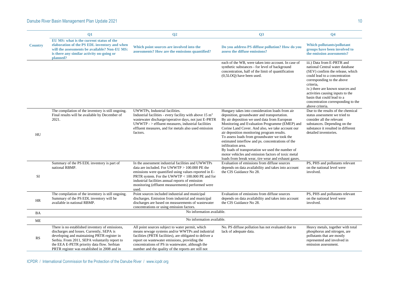|                | Q1                                                                                                                                                                                                                                                                                         | Q <sub>2</sub>                                                                                                                                                                                                                                                                                                                    | Q3                                                                                                                                                                                                                                                                                                                                                                                                                                                                                                                                                                                             | Q <sub>4</sub>                                                                                                                                                                                                                                                                                                                               |
|----------------|--------------------------------------------------------------------------------------------------------------------------------------------------------------------------------------------------------------------------------------------------------------------------------------------|-----------------------------------------------------------------------------------------------------------------------------------------------------------------------------------------------------------------------------------------------------------------------------------------------------------------------------------|------------------------------------------------------------------------------------------------------------------------------------------------------------------------------------------------------------------------------------------------------------------------------------------------------------------------------------------------------------------------------------------------------------------------------------------------------------------------------------------------------------------------------------------------------------------------------------------------|----------------------------------------------------------------------------------------------------------------------------------------------------------------------------------------------------------------------------------------------------------------------------------------------------------------------------------------------|
| <b>Country</b> | EU MS: what is the current status of the<br>elaboration of the PS EDL inventory and when<br>will the assessments be available? Non-EU MS:<br>is there any similar activity on-going or<br>planned?                                                                                         | Which point sources are involved into the<br>assessments? How are the emissions quantified?                                                                                                                                                                                                                                       | Do you address PS diffuse pollution? How do you<br>assess the diffuse emissions?                                                                                                                                                                                                                                                                                                                                                                                                                                                                                                               | <b>Which pollutants/pollutant</b><br>groups have been involved to<br>the emission assessments?                                                                                                                                                                                                                                               |
|                |                                                                                                                                                                                                                                                                                            |                                                                                                                                                                                                                                                                                                                                   | each of the WB, were taken into account. In case of<br>synthetic substances - for level of background<br>concentration, half of the limit of quantification<br>(0,5LOQ) have been used.                                                                                                                                                                                                                                                                                                                                                                                                        | iii.) Data from E-PRTR and<br>national Central water database<br>(SEV) confirm the release, which<br>could lead to a concentration<br>corresponding to the above<br>criteria,<br>iv.) there are known sources and<br>activities causing inputs to the<br>basin that could lead to a<br>concentration corresponding to the<br>above criteria. |
| HU             | The compilation of the inventory is still ongoing.<br>Final results will be available by December of<br>2021.                                                                                                                                                                              | UWWTPs, Industrial facilities.<br>Industrial facilities - every facility with above $15 \text{ m}^3$<br>wastewater discharge/operative days, not just E-PRTR<br>$UWWTP - \geq$ effluent measures, industrial facilities<br>effluent measures, and for metals also used emission<br>factors.                                       | Hungary takes into consideration loads from air<br>deposition, groundwater and transportation.<br>By air deposition we used data from European<br>Monitoring and Evaluation Programme (EMEP) and<br>Corine Land Cover. And also, we take account our<br>air deposition monitoring program results.<br>To assess loads from groundwater we took the<br>estimated interflow and ps. concentrations of the<br>infiltration area.<br>By loads of transportation we used the number of<br>motor vehicles and emission factors of toxic metal<br>loads from break wear, tire wear and exhaust gases. | Due to the results of the chemical<br>status assessment we tried to<br>consider all the relevant<br>substances. Depending on the<br>substance it resulted in different<br>detailed inventories.                                                                                                                                              |
| SI             | Summary of the PS EDL inventory is part of<br>national RBMP.                                                                                                                                                                                                                               | In the assessment industrial facilities and UWWTPs<br>data are included. For UWWTP > 100.000 PE the<br>emissions were quantified using values reported in E-<br>PRTR system. For the UWWTP < 100.000 PE and for<br>industrial facilities annual reports of emission<br>monitoring (effluent measurements) performed were<br>used. | Evaluation of emissions from diffuse sources<br>depends on data availability and takes into account<br>the CIS Guidance No 28.                                                                                                                                                                                                                                                                                                                                                                                                                                                                 | PS, PHS and pollutants relevant<br>on the national level were<br>involved.                                                                                                                                                                                                                                                                   |
| HR             | The compilation of the inventory is still ongoing.<br>Summary of the PS EDL inventory will be<br>available in national RBMP.                                                                                                                                                               | Point sources included industrial and municipal<br>discharges. Emission from industrial and municipal<br>discharges are based on measurements of wastewater<br>concentrations or using emission factors.                                                                                                                          | Evaluation of emissions from diffuse sources<br>depends on data availability and takes into account<br>the CIS Guidance No 28.                                                                                                                                                                                                                                                                                                                                                                                                                                                                 | PS, PHS and pollutants relevant<br>on the national level were<br>involved.                                                                                                                                                                                                                                                                   |
| BA             |                                                                                                                                                                                                                                                                                            | No information available.                                                                                                                                                                                                                                                                                                         |                                                                                                                                                                                                                                                                                                                                                                                                                                                                                                                                                                                                |                                                                                                                                                                                                                                                                                                                                              |
| ME             |                                                                                                                                                                                                                                                                                            | No information available.                                                                                                                                                                                                                                                                                                         |                                                                                                                                                                                                                                                                                                                                                                                                                                                                                                                                                                                                |                                                                                                                                                                                                                                                                                                                                              |
| <b>RS</b>      | There is no established inventory of emissions,<br>discharges and losses. Currently, SEPA is<br>developing and maintaining PRTR register in<br>Serbia. From 2011, SEPA voluntarily report to<br>the EEA E-PETR priority data flow. Serbian<br>PRTR register was established in 2008 and in | All point sources subject to water permit, which<br>means sewage systems and/or WWTPs and industrial<br>facilities (PRTR facilities), are obligated to deliver a<br>report on wastewater emissions, providing the<br>concentrations of PS in wastewater, although the<br>number and the quality of the reports are still not      | No. PS diffuse pollution has not evaluated due to<br>lack of adequate data.                                                                                                                                                                                                                                                                                                                                                                                                                                                                                                                    | Heavy metals, together with total<br>phosphorus and nitrogen, are<br>pollutants that are mostly<br>represented and involved in<br>emission assessment.                                                                                                                                                                                       |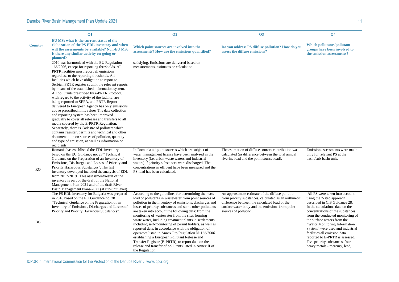|                | Q1                                                                                                                                                                                                                                                                                                                                                                                                                                                                                                                                                                                                                                                                                                                                                                                                                                                                                                                                                                                    | Q <sub>2</sub>                                                                                                                                                                                                                                                                                                                                                                                                                                                                                                                                                                                                                                                                                                                                                           | Q3                                                                                                                                                                                                                                     | Q <sub>4</sub>                                                                                                                                                                                                                                                                                                                                                                                                                                    |  |  |
|----------------|---------------------------------------------------------------------------------------------------------------------------------------------------------------------------------------------------------------------------------------------------------------------------------------------------------------------------------------------------------------------------------------------------------------------------------------------------------------------------------------------------------------------------------------------------------------------------------------------------------------------------------------------------------------------------------------------------------------------------------------------------------------------------------------------------------------------------------------------------------------------------------------------------------------------------------------------------------------------------------------|--------------------------------------------------------------------------------------------------------------------------------------------------------------------------------------------------------------------------------------------------------------------------------------------------------------------------------------------------------------------------------------------------------------------------------------------------------------------------------------------------------------------------------------------------------------------------------------------------------------------------------------------------------------------------------------------------------------------------------------------------------------------------|----------------------------------------------------------------------------------------------------------------------------------------------------------------------------------------------------------------------------------------|---------------------------------------------------------------------------------------------------------------------------------------------------------------------------------------------------------------------------------------------------------------------------------------------------------------------------------------------------------------------------------------------------------------------------------------------------|--|--|
| <b>Country</b> | EU MS: what is the current status of the<br>elaboration of the PS EDL inventory and when<br>will the assessments be available? Non-EU MS:<br>is there any similar activity on-going or<br>planned?                                                                                                                                                                                                                                                                                                                                                                                                                                                                                                                                                                                                                                                                                                                                                                                    | Which point sources are involved into the<br>assessments? How are the emissions quantified?                                                                                                                                                                                                                                                                                                                                                                                                                                                                                                                                                                                                                                                                              | Do you address PS diffuse pollution? How do you<br>assess the diffuse emissions?                                                                                                                                                       | Which pollutants/pollutant<br>groups have been involved to<br>the emission assessments?                                                                                                                                                                                                                                                                                                                                                           |  |  |
|                | 2010 was harmonized with the EU Regulation<br>166/2006, except for reporting thresholds. All<br>PRTR facilities must report all emissions<br>regardless to the reporting thresholds. All<br>facilities which have obligation to report to<br>Serbian PRTR register submit the relevant reports<br>by means of the established information system.<br>All pollutants prescribed by e-PRTR Protocol,<br>with regard to the activity of the facility, are<br>being reported to SEPA, and PRTR Report<br>delivered to European Agency has only emissions<br>above prescribed limit values The data collection<br>and reporting system has been improved<br>gradually to cover all releases and transfers to all<br>media covered by the E-PRTR Regulation.<br>Separately, there is Cadastre of polluters which<br>contains register, permits and technical and other<br>documentation on sources of pollution, quantity<br>and type of emission, as well as information on<br>recipients. | satisfying. Emissions are delivered based on<br>measurements, estimates or calculation.                                                                                                                                                                                                                                                                                                                                                                                                                                                                                                                                                                                                                                                                                  |                                                                                                                                                                                                                                        |                                                                                                                                                                                                                                                                                                                                                                                                                                                   |  |  |
| <b>RO</b>      | Romania has established the EDL inventory<br>based on the EU Guidance no. 28 "Technical<br>Guidance on the Preparation of an Inventory of<br>Emissions, Discharges and Losses of Priority and<br>Priority Hazardous Substances". The last<br>inventory developed included the analysis of EDL<br>from 2017-2019. This assessment/result of the<br>inventory is part of the draft of the National<br>Management Plan-2021 and of the draft River<br>Basin Management Plans-2021 (at sub-unit level).                                                                                                                                                                                                                                                                                                                                                                                                                                                                                   | In Romania all point sources which are subject of<br>water management license have been analysed in the<br>inventory (i.e. urban waste waters and industrial<br>waters) if priority substances were discharged. The<br>concentrations in effluent have been measured and the<br>PS load has been calculated.                                                                                                                                                                                                                                                                                                                                                                                                                                                             | The estimation of diffuse sources contribution was<br>calculated (as difference between the total annual<br>riverine load and the point source load).                                                                                  | Emission assessments were made<br>only for relevant PS at the<br>basin/sub-basin unit.                                                                                                                                                                                                                                                                                                                                                            |  |  |
| <b>BG</b>      | The PS EDL inventory for Bulgaria was prepared<br>in 2016 based on the EU Guidance no. 28<br>"Technical Guidance on the Preparation of an<br>Inventory of Emissions, Discharges and Losses of<br>Priority and Priority Hazardous Substances".                                                                                                                                                                                                                                                                                                                                                                                                                                                                                                                                                                                                                                                                                                                                         | According to the guidelines for determining the mass<br>load of pollutants in wastewater from point sources of<br>pollution in the inventory of emissions, discharges and<br>losses of priority substances and some other pollutants<br>are taken into account the following data: from the<br>monitoring of wastewater from the sites forming<br>waste water, including treatment plants in settlements,<br>including self-monitoring of permit holders, as well as<br>reported data, in accordance with the obligation of<br>operators listed in Annex I to Regulation № 166/2006<br>establishing a European Pollutant Release and<br>Transfer Register (E-PRTR), to report data on the<br>release and transfer of pollutants listed in Annex II of<br>the Regulation. | An approximate estimate of the diffuse pollution<br>from priority substances, calculated as an arithmetic<br>difference between the calculated load of the<br>surface water body and the emissions from point<br>sources of pollution. | All PS were taken into account<br>using the 2-step approach<br>described in CIS Guidance 28.<br>In the calculations data on the<br>concentrations of the substances<br>from the conducted monitoring of<br>the surface waters from the<br>"Water Monitoring Information<br>System" were used and industrial<br>facilities all emission data<br>reported to E-PRTR is assessed.<br>Five priority substances, four<br>heavy metals - mercury, lead, |  |  |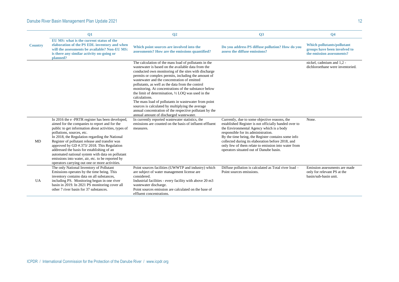|                | <b>Q1</b>                                                                                                                                                                                                                                                                                                                                                                                                                                                                                                                                        | Q <sub>2</sub>                                                                                                                                                                                                                                                                                                                                                                                                                                                                                                                                                                                                                                                                            | Q3                                                                                                                                                                                                                                                                                                                                                                                                     | Q <sub>4</sub>                                                                                 |  |  |
|----------------|--------------------------------------------------------------------------------------------------------------------------------------------------------------------------------------------------------------------------------------------------------------------------------------------------------------------------------------------------------------------------------------------------------------------------------------------------------------------------------------------------------------------------------------------------|-------------------------------------------------------------------------------------------------------------------------------------------------------------------------------------------------------------------------------------------------------------------------------------------------------------------------------------------------------------------------------------------------------------------------------------------------------------------------------------------------------------------------------------------------------------------------------------------------------------------------------------------------------------------------------------------|--------------------------------------------------------------------------------------------------------------------------------------------------------------------------------------------------------------------------------------------------------------------------------------------------------------------------------------------------------------------------------------------------------|------------------------------------------------------------------------------------------------|--|--|
| <b>Country</b> | EU MS: what is the current status of the<br>elaboration of the PS EDL inventory and when<br>will the assessments be available? Non-EU MS:<br>is there any similar activity on-going or<br>planned?                                                                                                                                                                                                                                                                                                                                               | Which point sources are involved into the<br>assessments? How are the emissions quantified?                                                                                                                                                                                                                                                                                                                                                                                                                                                                                                                                                                                               | Do you address PS diffuse pollution? How do you<br>assess the diffuse emissions?                                                                                                                                                                                                                                                                                                                       | <b>Which pollutants/pollutant</b><br>groups have been involved to<br>the emission assessments? |  |  |
|                |                                                                                                                                                                                                                                                                                                                                                                                                                                                                                                                                                  | The calculation of the mass load of pollutants in the<br>wastewater is based on the available data from the<br>conducted own monitoring of the sites with discharge<br>permits or complex permits, including the amount of<br>wastewater and the concentration of emitted<br>pollutants, as well as the data from the control<br>monitoring. At concentrations of the substance below<br>the limit of determination, $\frac{1}{2}$ LOQ was used in the<br>calculations.<br>The mass load of pollutants in wastewater from point<br>sources is calculated by multiplying the average<br>annual concentration of the respective pollutant by the<br>annual amount of discharged wastewater. |                                                                                                                                                                                                                                                                                                                                                                                                        | nickel, cadmium and 1,2 -<br>dichloroethane were inventoried.                                  |  |  |
| MD             | In 2016 the e-PRTR register has been developed,<br>aimed for the companies to report and for the<br>public to get information about activities, types of<br>pollutions, sources, etc.<br>In 2018, the Regulation regarding the National<br>Register of pollutant release and transfer was<br>approved by GD #.373/2018. This Regulation<br>addressed the basis for establishing of an<br>automated national system with data on pollutant<br>emissions into water, air, etc. to be reported by<br>operators carrying out one or more activities. | In currently reported wastewater statistics, the<br>emissions are counted on the basis of influent-effluent<br>measures.                                                                                                                                                                                                                                                                                                                                                                                                                                                                                                                                                                  | Currently, due to some objective reasons, the<br>established Register is not officially handed over to<br>the Environmental Agency which is a body<br>responsible for its administration.<br>By the time being, the Register contains some info<br>collected during its elaboration before 2018, and<br>only few of them relate to emission into water from<br>operators situated out of Danube basin. | None.                                                                                          |  |  |
| UA             | The only National Inventory of Pollutant<br>Emissions operates by the time being. This<br>inventory contains data on all substances,<br>including PS. Monitoring begun in one river<br>basin in 2019. In 2021 PS monitoring cover all<br>other 7 river basin for 37 substances.                                                                                                                                                                                                                                                                  | Point sources facilities (UWWTP and industry) which<br>are subject of water management license are<br>considered.<br>Industrial facilities - every facility with above 20 m3<br>wastewater discharge.<br>Point sources emission are calculated on the base of<br>effluent concentrations.                                                                                                                                                                                                                                                                                                                                                                                                 | Diffuse pollution is calculated as Total river load -<br>Point sources emissions.                                                                                                                                                                                                                                                                                                                      | Emission assessments are made<br>only for relevant PS at the<br>basin/sub-basin unit.          |  |  |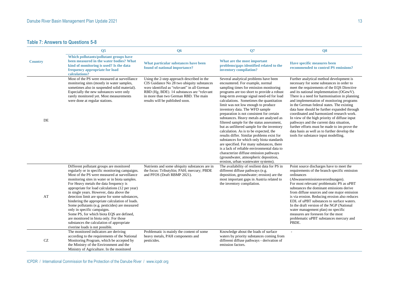## **Table 7: Answers to Questions 5-8**

|                     | <b>O5</b>                                                                                                                                                                                                                                                                                                                                                                                                                                                                                                                                                                                                                                                                                           | Q <sub>6</sub>                                                                                                                                                                                                                                                    | Q7                                                                                                                                                                                                                                                                                                                                                                                                                                                                                                                                                                                                                                                                                                                                                                                                                                                                                  | $\overline{\textbf{O8}}$                                                                                                                                                                                                                                                                                                                                                                                                                                                                                                                                                                                                                                      |
|---------------------|-----------------------------------------------------------------------------------------------------------------------------------------------------------------------------------------------------------------------------------------------------------------------------------------------------------------------------------------------------------------------------------------------------------------------------------------------------------------------------------------------------------------------------------------------------------------------------------------------------------------------------------------------------------------------------------------------------|-------------------------------------------------------------------------------------------------------------------------------------------------------------------------------------------------------------------------------------------------------------------|-------------------------------------------------------------------------------------------------------------------------------------------------------------------------------------------------------------------------------------------------------------------------------------------------------------------------------------------------------------------------------------------------------------------------------------------------------------------------------------------------------------------------------------------------------------------------------------------------------------------------------------------------------------------------------------------------------------------------------------------------------------------------------------------------------------------------------------------------------------------------------------|---------------------------------------------------------------------------------------------------------------------------------------------------------------------------------------------------------------------------------------------------------------------------------------------------------------------------------------------------------------------------------------------------------------------------------------------------------------------------------------------------------------------------------------------------------------------------------------------------------------------------------------------------------------|
| <b>Country</b>      | Which pollutants/pollutant groups have<br>been measured in the water bodies? What<br>kind of monitoring is used? Is the data<br>frequency appropriate for load<br>calculations?                                                                                                                                                                                                                                                                                                                                                                                                                                                                                                                     | What particular substances have been<br>found of national importance?                                                                                                                                                                                             | What are the most important<br>problems/gaps identified related to the<br>inventory compilation?                                                                                                                                                                                                                                                                                                                                                                                                                                                                                                                                                                                                                                                                                                                                                                                    | Have specific measures been<br>recommended to control PS emissions?                                                                                                                                                                                                                                                                                                                                                                                                                                                                                                                                                                                           |
| DE                  | Most of the PS were measured at surveillance<br>monitoring sites (mostly in water samples,<br>sometimes also in suspended solid material).<br>Especially the new substances were only<br>rarely monitored yet. Most measurements<br>were done at regular stations.                                                                                                                                                                                                                                                                                                                                                                                                                                  | Using the 2-step approach described in the<br>CIS Guidance No 28 two ubiquity substances<br>were identified as "relevant" in all German<br>RBD (Hg, BDE). 14 substances are "relevant<br>in more than two German RBD. The main<br>results will be published soon. | Several analytical problems have been<br>encountered. For example, normal<br>sampling times for emission monitoring<br>programs are too short to provide a robust<br>long-term average signal need-ed for load<br>calculations. Sometimes the quantitation<br>limit was not low enough to produce<br>inventory data. The WFD sample<br>preparation is not consistent for certain<br>substances. Heavy metals are analysed as<br>filtered sample for the status assessment,<br>but as unfiltered sample for the inventory<br>calculation. As is to be expected, the<br>results differ. Similar problems exist for<br>substances for which only biota standards<br>are specified. For many substances, there<br>is a lack of reliable environmental data to<br>characterize diffuse emission pathways<br>(groundwater, atmospheric deposition,<br>erosion, urban wastewater systems). | Further analytical method development is<br>necessary for some substances in order to<br>meet the requirements of the EQS Directive<br>and its national implementation (OGewV).<br>There is a need for harmonisation in planning<br>and implementation of monitoring programs<br>in the German federal states. The existing<br>data base should be further expanded through<br>coordinated and harmonized research work.<br>In view of the high priority of diffuse input<br>pathways and the current data situation,<br>further efforts must be made to im-prove the<br>data basis as well as to further develop the<br>tools for substance input modelling. |
| AT                  | Different pollutant groups are monitored<br>regularly or in specific monitoring campaigns.<br>Most of the PS were measured at surveillance<br>monitoring sites in water or in biota samples.<br>For Heavy metals the data frequency is<br>appropriate for load calculations (12 per year)<br>in single years. However, data above the<br>detection limit are sparse for some substances,<br>hindering the appropriate calculation of loads.<br>Some pollutants (e.g. pesticides) are measured<br>only in specific campaigns.<br>Some PS, for which biota EQS are defined,<br>are monitored in biota only. For those<br>substances the calculation of appropriate<br>riverine loads is not possible. | Nutrients and some ubiquity substances are in<br>the focus: Tributyltin; PAH; mercury; PBDE<br>and PFOS (Draft RBMP 2021).                                                                                                                                        | The availability of resilient data for PS in<br>different diffuse pathways (e.g.<br>deposition, groundwater; erosion) are the<br>most important gaps in Austria related to<br>the inventory compilation.                                                                                                                                                                                                                                                                                                                                                                                                                                                                                                                                                                                                                                                                            | Point source discharges have to meet the<br>requirements of the branch specific emission<br>ordinances<br>(Abwasseremissionsverordnungen).<br>For most relevant/ problematic PS as uPBT<br>substances the dominant emissions derive<br>from diffuse sources and one major emission<br>is via erosion. Reducing erosion also reduces<br>EDL of uPBT substances to surface waters.<br>In the draft version of the NGP (National<br>water management plan) no specific<br>measures are foreseen for the most<br>problematic uPBT substances mercury and<br>PBDE.                                                                                                 |
| $\operatorname{CZ}$ | The monitored indicators are deriving<br>according to the requirements of the National<br>Monitoring Program, which be accepted by<br>the Ministry of the Environment and the<br>Ministry of Agriculture. In the monitored                                                                                                                                                                                                                                                                                                                                                                                                                                                                          | Problematic is mainly the content of some<br>heavy metals, PAH components and<br>pesticides.                                                                                                                                                                      | Knowledge about the loads of surface<br>waters by priority substances coming from<br>different diffuse pathways - derivation of<br>emission factors.                                                                                                                                                                                                                                                                                                                                                                                                                                                                                                                                                                                                                                                                                                                                |                                                                                                                                                                                                                                                                                                                                                                                                                                                                                                                                                                                                                                                               |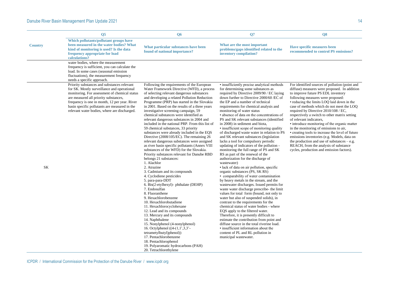|                                                                                                                                                                                                                                                                                                                                                                                                                                                                                                                                                                                                                                                                                                                                                                                                                                                                                                                                                                                                                                                                                                                                                                                                                                                                                                                                                                                                                                                    | <b>Have specific measures been</b><br>recommended to control PS emissions?                                                                                                                                                                                                                                                                                                                                                                                                                                                                                                                                                                                                                                                                                                                                                                                                                                                                                                                                                                                                                                                                                                                                                                                                                                                                                                                                                                                                                                                                                                                                       |
|----------------------------------------------------------------------------------------------------------------------------------------------------------------------------------------------------------------------------------------------------------------------------------------------------------------------------------------------------------------------------------------------------------------------------------------------------------------------------------------------------------------------------------------------------------------------------------------------------------------------------------------------------------------------------------------------------------------------------------------------------------------------------------------------------------------------------------------------------------------------------------------------------------------------------------------------------------------------------------------------------------------------------------------------------------------------------------------------------------------------------------------------------------------------------------------------------------------------------------------------------------------------------------------------------------------------------------------------------------------------------------------------------------------------------------------------------|------------------------------------------------------------------------------------------------------------------------------------------------------------------------------------------------------------------------------------------------------------------------------------------------------------------------------------------------------------------------------------------------------------------------------------------------------------------------------------------------------------------------------------------------------------------------------------------------------------------------------------------------------------------------------------------------------------------------------------------------------------------------------------------------------------------------------------------------------------------------------------------------------------------------------------------------------------------------------------------------------------------------------------------------------------------------------------------------------------------------------------------------------------------------------------------------------------------------------------------------------------------------------------------------------------------------------------------------------------------------------------------------------------------------------------------------------------------------------------------------------------------------------------------------------------------------------------------------------------------|
|                                                                                                                                                                                                                                                                                                                                                                                                                                                                                                                                                                                                                                                                                                                                                                                                                                                                                                                                                                                                                                                                                                                                                                                                                                                                                                                                                                                                                                                    |                                                                                                                                                                                                                                                                                                                                                                                                                                                                                                                                                                                                                                                                                                                                                                                                                                                                                                                                                                                                                                                                                                                                                                                                                                                                                                                                                                                                                                                                                                                                                                                                                  |
|                                                                                                                                                                                                                                                                                                                                                                                                                                                                                                                                                                                                                                                                                                                                                                                                                                                                                                                                                                                                                                                                                                                                                                                                                                                                                                                                                                                                                                                    | For identified sources of pollution (point and<br>diffuse) measures were proposed. In addition<br>to improve future PS EDL inventory<br>following measures were proposed:<br>• reducing the limits LOQ laid down in the<br>case of methods which do not meet the LOQ<br>required by Directive 2010/108 / EC,<br>respectively a switch to other matrix setting<br>of relevant indicators,<br>• introduce monitoring of the organic matter<br>in the monitoring of emissions to air,<br>• creating tools to increase the level of future<br>emissions inventories (e.g. Models, data on<br>the production and use of substances $-e.g.$<br>REACH, from the analysis of substance<br>cycles, production and emission factors).                                                                                                                                                                                                                                                                                                                                                                                                                                                                                                                                                                                                                                                                                                                                                                                                                                                                                      |
| What particular substances have been<br>found of national importance?<br>Following the requirements of the European<br>Water Framework Directive (WFD), a process<br>of selecting relevant dangerous substances<br>and developing a related Pollution Reduction<br>Programme (PRP) has started in the Slovakia<br>in 2001. Based on the results of a three years<br>investigative screening campaign, 59<br>chemical substances were identified as<br>relevant dangerous substances in 2004 and<br>included in the national PRP. From this list of<br>59 chemical substances, 33 priority<br>substances were already included in the EQS<br>Directive (2008/105/EC). The remaining 26<br>relevant dangerous substances were assigned<br>as river basin specific pollutants (Annex VIII<br>substances of the WFD) for the Slovakia.<br>Priority substances relevant for Danube RBD<br>belongs 21 substances:<br>3. Cadmium and its compounds<br>4. Cyclodiene pesticides<br>5. para-para-DDT<br>6. Bis(2-etylhexyl)- phthalate (DEHP)<br>8. Fluoranthene<br>9. Hexachlorobenzene<br>10. Hexachlorobutadiene<br>11. Hexachlorocyclohexane<br>12. Lead and its compounds<br>13. Mercury and its compounds<br>14. Naphthalene<br>15. Nonylphenol (4-nonylphenol)<br>16. Octylphenol $((4-(1,1),3,3)$ -<br>tetrametylbutyl)phenol))<br>17. Pentachlorobenzene<br>18. Pentachlorophenol<br>19. Polyaromatic hydrocarbons (PAH)<br>20. Tetrachlorethylene | What are the most important<br>problems/gaps identified related to the<br>inventory compilation?<br>• insufficiently precise analytical methods<br>for determining some substances as<br>required by Directive 2009/90 / EC laying<br>down further to Directive 2000/60 /EC of<br>the EP and a number of technical<br>requirements for chemical analysis and<br>monitoring of water status<br>• absence of data on the concentrations of<br>PS and SK relevant substances (identified<br>in 2008) in sediment and biota,<br>· insufficient scope of monitoring quality<br>of discharged waste water in relation to PS<br>and SK relevant substances (legislation<br>lacks a tool for compulsory periodic<br>updating of indicators of the pollution -<br>monitoring the full range of PS and SK<br>RS as part of the renewal of the<br>authorization for the discharge of<br>wastewater)<br>· lack of data on air pollution, specific<br>organic substances (PS, SK RS)<br>• comparability of water contamination<br>by heavy metals in the stream, and the<br>wastewater discharges. Issued permits for<br>waste water discharge prescribe- the limit<br>values for total form (bound, not only to<br>water but also of suspended solids), in<br>contrast to the requirements for the<br>chemical status of water bodies - where<br>EQS apply to the filtered water.<br>Therefore, it is presently difficult to<br>estimate the contribution from point and<br>diffuse source in the total riverine load.<br>• insufficient information about the<br>content of PL and RL pollution in<br>municipal wastewater. |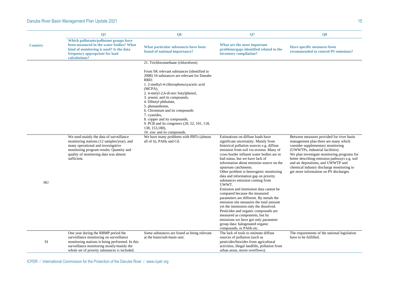|                  | <b>O5</b>                                                                                                                                                                                                                       | <b>O6</b>                                                                                                                                                                                                                                                                                                                                                                                                                      | Q7                                                                                                                                                                                                                                                                                                                                                                                                                                                                                                                                                                                                                                                                                                                                                                                                                                             | Q <sub>8</sub>                                                                                                                                                                                                                                                                                                                                                                          |
|------------------|---------------------------------------------------------------------------------------------------------------------------------------------------------------------------------------------------------------------------------|--------------------------------------------------------------------------------------------------------------------------------------------------------------------------------------------------------------------------------------------------------------------------------------------------------------------------------------------------------------------------------------------------------------------------------|------------------------------------------------------------------------------------------------------------------------------------------------------------------------------------------------------------------------------------------------------------------------------------------------------------------------------------------------------------------------------------------------------------------------------------------------------------------------------------------------------------------------------------------------------------------------------------------------------------------------------------------------------------------------------------------------------------------------------------------------------------------------------------------------------------------------------------------------|-----------------------------------------------------------------------------------------------------------------------------------------------------------------------------------------------------------------------------------------------------------------------------------------------------------------------------------------------------------------------------------------|
| <b>Country</b>   | Which pollutants/pollutant groups have<br>been measured in the water bodies? What<br>kind of monitoring is used? Is the data<br>frequency appropriate for load<br>calculations?                                                 | What particular substances have been<br>found of national importance?                                                                                                                                                                                                                                                                                                                                                          | What are the most important<br>problems/gaps identified related to the<br>inventory compilation?                                                                                                                                                                                                                                                                                                                                                                                                                                                                                                                                                                                                                                                                                                                                               | <b>Have specific measures been</b><br>recommended to control PS emissions?                                                                                                                                                                                                                                                                                                              |
|                  |                                                                                                                                                                                                                                 | 21. Trichloromethane (chloroform)                                                                                                                                                                                                                                                                                                                                                                                              |                                                                                                                                                                                                                                                                                                                                                                                                                                                                                                                                                                                                                                                                                                                                                                                                                                                |                                                                                                                                                                                                                                                                                                                                                                                         |
|                  |                                                                                                                                                                                                                                 | From SK relevant substances (identified in<br>2008) 10 substances are relevant for Danube<br>RBD:<br>1. 2-methyl-4-chlorophenoxyacetic acid<br>(MCPA),<br>2. 4-metyl-2,6-di-terc butylphenol,<br>3. arsenic and its compounds,<br>4. Dibutyl phthalate,<br>5. phenanthrene,<br>6. Chromium and its compounds<br>7. cyanides,<br>8. copper and its compounds,<br>9. PCB and its congeners (28, 52, 101, 118,<br>138, 153, 180), |                                                                                                                                                                                                                                                                                                                                                                                                                                                                                                                                                                                                                                                                                                                                                                                                                                                |                                                                                                                                                                                                                                                                                                                                                                                         |
| ${\rm H}{\rm U}$ | We used mainly the data of surveillance<br>monitoring stations (12 samples/year), and<br>many operational and investigative<br>monitoring program results. Quantity and<br>quality of monitoring data was almost<br>sufficient. | 10. zinc and its compounds.<br>We have many problems with PBTs (almost<br>all of it), PAHs and Cd.                                                                                                                                                                                                                                                                                                                             | Estimations on diffuse loads have<br>significant uncertainty. Mainly from<br>historical pollution sources e.g. diffuse<br>emission from soil via erosion. Many of<br>cross border influent water bodies are in<br>bad status, but we have lack of<br>information about emission source on the<br>upstream catchments.<br>Other problem is heterogenic monitoring<br>data and information gap on priority<br>substances emission coming from<br>UWWT.<br>Emission and immission data cannot be.<br>compared because the measured<br>parameters are different. By metals the<br>emission site measures the total amount<br>yet the immission only the dissolved.<br>Pesticides and organic compounds are<br>measured as components, but by<br>emissions we have got only parameter<br>group data: halogenated organic<br>compounds, or PAHs etc. | Between measures provided for river basin<br>management plan there are many which<br>consider supplementary monitoring<br>(UWWTPs, industrial facilities).<br>We plan investigate monitoring programs for<br>better describing emission pathways e.g. soil<br>and air depositions, and UWWTP and<br>chemical industry discharge monitoring to<br>get more information on PS discharges. |
| SI               | One year during the RBMP period the<br>surveillance monitoring on surveillance<br>monitoring stations is being performed. In this<br>surveillance monitoring mostly/mainly the<br>whole set of priority substances is included. | Some substances are found as being relevant<br>at the basin/sub-basin unit.                                                                                                                                                                                                                                                                                                                                                    | The lack of tools to estimate diffuse<br>sources of pollution (such as<br>pesticides/biocides from agricultural<br>activities, illegal landfills, pollution from<br>urban areas, storm overflows).                                                                                                                                                                                                                                                                                                                                                                                                                                                                                                                                                                                                                                             | The requirements of the national legislation<br>have to be fulfilled.                                                                                                                                                                                                                                                                                                                   |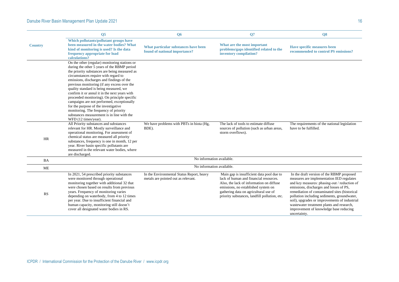|                | <b>O5</b>                                                                                                                                                                                                                                                                                                                                                                                                                                                                                                                                                                                                                         | <b>Q6</b>                                                                        | Q7                                                                                                                                                                                                                                                               | Q <sub>8</sub>                                                                                                                                                                                                                                                                                                                                                                                                                            |  |
|----------------|-----------------------------------------------------------------------------------------------------------------------------------------------------------------------------------------------------------------------------------------------------------------------------------------------------------------------------------------------------------------------------------------------------------------------------------------------------------------------------------------------------------------------------------------------------------------------------------------------------------------------------------|----------------------------------------------------------------------------------|------------------------------------------------------------------------------------------------------------------------------------------------------------------------------------------------------------------------------------------------------------------|-------------------------------------------------------------------------------------------------------------------------------------------------------------------------------------------------------------------------------------------------------------------------------------------------------------------------------------------------------------------------------------------------------------------------------------------|--|
| <b>Country</b> | Which pollutants/pollutant groups have<br>been measured in the water bodies? What<br>kind of monitoring is used? Is the data<br>frequency appropriate for load<br>calculations?                                                                                                                                                                                                                                                                                                                                                                                                                                                   | What particular substances have been<br>found of national importance?            | What are the most important<br>problems/gaps identified related to the<br>inventory compilation?                                                                                                                                                                 | Have specific measures been<br>recommended to control PS emissions?                                                                                                                                                                                                                                                                                                                                                                       |  |
|                | On the other (regular) monitoring stations or<br>during the other 5 years of the RBMP period<br>the priority substances are being measured as<br>circumstances require with regard to<br>emissions, discharges and findings of the<br>previous monitoring (if any excess over the<br>quality standard is being measured, we<br>confirm it or annul it in the next years with<br>proceeded monitoring). On principle specific<br>campaigns are not performed, exceptionally<br>for the purpose of the investigative<br>monitoring. The frequency of priority<br>substances measurement is in line with the<br>WFD (12 times/year). |                                                                                  |                                                                                                                                                                                                                                                                  |                                                                                                                                                                                                                                                                                                                                                                                                                                           |  |
| <b>HR</b>      | All Priority substances and substances<br>relevant for HR. Mostly surveillance and<br>operational monitoring. For assessment of<br>chemical status are measured all priority<br>substances, frequency is one in month, 12 per<br>year. River basin specific pollutants are<br>measured in the relevant water bodies, where<br>are discharged.                                                                                                                                                                                                                                                                                     | We have problems with PBTs in biota (Hg,<br>BDE).                                | The lack of tools to estimate diffuse<br>sources of pollution (such as urban areas,<br>storm overflows).                                                                                                                                                         | The requirements of the national legislation<br>have to be fulfilled.                                                                                                                                                                                                                                                                                                                                                                     |  |
| <b>BA</b>      |                                                                                                                                                                                                                                                                                                                                                                                                                                                                                                                                                                                                                                   | No information available.                                                        |                                                                                                                                                                                                                                                                  |                                                                                                                                                                                                                                                                                                                                                                                                                                           |  |
| <b>ME</b>      |                                                                                                                                                                                                                                                                                                                                                                                                                                                                                                                                                                                                                                   | No information available.                                                        |                                                                                                                                                                                                                                                                  |                                                                                                                                                                                                                                                                                                                                                                                                                                           |  |
| <b>RS</b>      | In 2021, 54 prescribed priority substances<br>were monitored through operational<br>monitoring together with additional 32 that<br>were chosen based on results from previous<br>years. Frequency of monitoring varies<br>depending on waterbody, from 4 to 12 times<br>per year. Due to insufficient financial and<br>human capacity, monitoring still doesn't<br>cover all designated water bodies in RS.                                                                                                                                                                                                                       | In the Environmental Status Report, heavy<br>metals are pointed out as relevant. | Main gap is insufficient data pool due to<br>lack of human and financial resources.<br>Also, the lack of information on diffuse<br>emissions, no established system on<br>gathering data on agricultural use of<br>priority substances, landfill pollution, etc. | In the draft version of the RBMP proposed<br>measures are implementation IED regulates<br>and key measures: phasing-out / reduction of<br>emissions, discharges and losses of PS,<br>remediation of contaminated sites (historical<br>pollution including sediments, groundwater,<br>soil), upgrades or improvements of industrial<br>wastewater treatment plants and research,<br>improvement of knowledge base reducing<br>uncertainty. |  |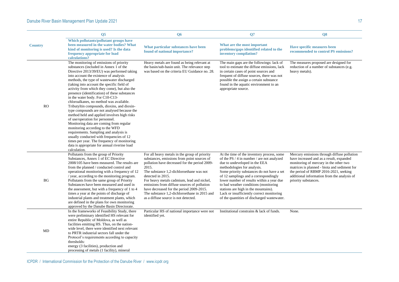|                | <b>O5</b>                                                                                                                                                                                                                                                                                                                                                                                                                                                                                                                                                                                                                                                                                                                                                                                                                                                                                                               | Q <sub>6</sub>                                                                                                                                                                                                                                                                                                                                                                                                                                           | Q7                                                                                                                                                                                                                                                                                                                                                                                                                                                                        | Q <sub>8</sub>                                                                                                                                                                                                                                                                                    |  |  |
|----------------|-------------------------------------------------------------------------------------------------------------------------------------------------------------------------------------------------------------------------------------------------------------------------------------------------------------------------------------------------------------------------------------------------------------------------------------------------------------------------------------------------------------------------------------------------------------------------------------------------------------------------------------------------------------------------------------------------------------------------------------------------------------------------------------------------------------------------------------------------------------------------------------------------------------------------|----------------------------------------------------------------------------------------------------------------------------------------------------------------------------------------------------------------------------------------------------------------------------------------------------------------------------------------------------------------------------------------------------------------------------------------------------------|---------------------------------------------------------------------------------------------------------------------------------------------------------------------------------------------------------------------------------------------------------------------------------------------------------------------------------------------------------------------------------------------------------------------------------------------------------------------------|---------------------------------------------------------------------------------------------------------------------------------------------------------------------------------------------------------------------------------------------------------------------------------------------------|--|--|
| <b>Country</b> | Which pollutants/pollutant groups have<br>been measured in the water bodies? What<br>kind of monitoring is used? Is the data<br>frequency appropriate for load<br>calculations?                                                                                                                                                                                                                                                                                                                                                                                                                                                                                                                                                                                                                                                                                                                                         | What particular substances have been<br>found of national importance?                                                                                                                                                                                                                                                                                                                                                                                    | What are the most important<br>problems/gaps identified related to the<br>inventory compilation?                                                                                                                                                                                                                                                                                                                                                                          | Have specific measures been<br>recommended to control PS emissions?                                                                                                                                                                                                                               |  |  |
| RO             | The monitoring of emissions of priority<br>substances (included in Annex 1 of the<br>Directive 2013/39/EU) was performed taking<br>into account the existence of analysis<br>methods, the type of wastewater discharged<br>(taking into account the specific field of<br>activity from which they come), but also the<br>presence (identification) of these substances<br>in the water body. For C10-C13-<br>chloroalkanes, no method was available.<br>Tributyltin compounds, dioxins, and dioxin-<br>type compounds are not analysed because the<br>method held and applied involves high risks<br>of use/operation for personnel.<br>Monitoring data are coming from regular<br>monitoring according to the WFD<br>requirements. Sampling and analysis is<br>usually conducted with frequencies of 12<br>times per year. The frequency of monitoring<br>data is appropriate for annual riverine load<br>calculation. | Heavy metals are found as being relevant at<br>the basin/sub-basin unit. The relevance step<br>was based on the criteria EU Guidance no. 28.                                                                                                                                                                                                                                                                                                             | The main gaps are the followings: lack of<br>tool to estimate the diffuse emissions, lack<br>in certain cases of point sources and<br>frequent of diffuse sources, there was not<br>possible the assign a certain substance<br>found in the aquatic environment to an<br>appropriate source.                                                                                                                                                                              | The measures proposed are designed for<br>reduction of a number of substances (e.g.<br>heavy metals).                                                                                                                                                                                             |  |  |
| <b>BG</b>      | Pollutants from the group of Priority<br>Substances, Annex 1 of EC Directive<br>2008/105 have been measured. The results are<br>from the planned / conducted control and<br>operational monitoring with a frequency of 12<br>/ year, according to the monitoring program.<br>Pollutants from the same group of Priority<br>Substances have been measured and used in<br>the assessment, but with a frequency of 1 to 4<br>times a year at the points of discharge of<br>industrial plants and treatment plants, which<br>are defined in the plans for own monitoring<br>approved by the Danube Basin Directorate.                                                                                                                                                                                                                                                                                                       | For all heavy metals in the group of priority<br>substances, emissions from point sources of<br>pollution have decreased for the period 2009-<br>2015.<br>The substance 1,2-dichloroethane was not<br>detected in 2015.<br>For heavy metals cadmium, lead and nickel,<br>emissions from diffuse sources of pollution<br>have decreased for the period 2009-2015.<br>The substance 1,2-dichloroethane in 2015 and<br>as a diffuse source is not detected. | At the time of the inventory process, some<br>of the PS / 4 in number / are not analyzed<br>due to undeveloped in the EEA<br>methodologies for analysis.<br>Some priority substances do not have a set<br>of 12 samplings and a correspondingly<br>lower number of results within a year due<br>to bad weather conditions (monitoring<br>stations are high in the mountains).<br>Lack or insufficiently correct monitoring<br>of the quantities of discharged wastewater. | Mercury emissions through diffuse pollution<br>have increased and as a result, expanded<br>monitoring of mercury in the other two<br>matrices is planned - biota and sediment for<br>the period of RBMP 2016-2021, seeking<br>additional information from the analysis of<br>priority substances. |  |  |
| MD             | In the frameworks of Feasibility Study, there<br>were preliminary identified HS relevant for<br>entire Republic of Moldova, as well as<br>facilities emitting HS. Thus, on the nation-<br>wide level, there were identified next relevant<br>to PRTR industrial sectors fall under the<br>Protocol's requirements according to capacity<br>thresholds:<br>energy (3 facilities), production and<br>processing of metals (1 facility), mineral                                                                                                                                                                                                                                                                                                                                                                                                                                                                           | Particular HS of national importance were not<br>identified yet.                                                                                                                                                                                                                                                                                                                                                                                         | Institutional constrains & lack of funds.                                                                                                                                                                                                                                                                                                                                                                                                                                 | None.                                                                                                                                                                                                                                                                                             |  |  |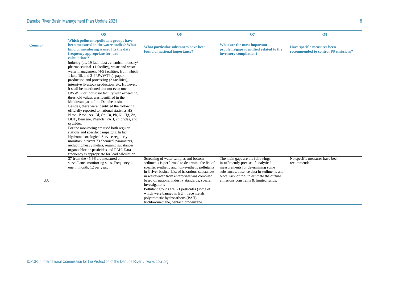|                | Q <sub>5</sub>                                                                                                                                                                                                                                                                                                                                                                                                                                                                                                                                                                                                                                                                                                                                                                                                                                                                                                                                                                                            | Q <sub>6</sub>                                                                                                                                                                                                                                                                                                                                                                                                                                                                           | Q7                                                                                                                                                                                                                                                  | Q <sub>8</sub>                                                      |  |  |
|----------------|-----------------------------------------------------------------------------------------------------------------------------------------------------------------------------------------------------------------------------------------------------------------------------------------------------------------------------------------------------------------------------------------------------------------------------------------------------------------------------------------------------------------------------------------------------------------------------------------------------------------------------------------------------------------------------------------------------------------------------------------------------------------------------------------------------------------------------------------------------------------------------------------------------------------------------------------------------------------------------------------------------------|------------------------------------------------------------------------------------------------------------------------------------------------------------------------------------------------------------------------------------------------------------------------------------------------------------------------------------------------------------------------------------------------------------------------------------------------------------------------------------------|-----------------------------------------------------------------------------------------------------------------------------------------------------------------------------------------------------------------------------------------------------|---------------------------------------------------------------------|--|--|
| <b>Country</b> | Which pollutants/pollutant groups have<br>been measured in the water bodies? What<br>kind of monitoring is used? Is the data<br>frequency appropriate for load<br>calculations?                                                                                                                                                                                                                                                                                                                                                                                                                                                                                                                                                                                                                                                                                                                                                                                                                           | What particular substances have been<br>found of national importance?                                                                                                                                                                                                                                                                                                                                                                                                                    | What are the most important<br>problems/gaps identified related to the<br>inventory compilation?                                                                                                                                                    | Have specific measures been<br>recommended to control PS emissions? |  |  |
|                | industry (ac. 19 facilities), chemical industry/<br>pharmaceutical (1 facility), waste and waste<br>water management (4-5 facilities, from which<br>1 landfill, and 3-4 UWWTPs), paper<br>production and processing (2 facilities),<br>intensive livestock production, etc. However,<br>it shall be mentioned that not even one<br>UWWTP or industrial facility with exceeding<br>threshold values was identified in the<br>Moldovan part of the Danube basin<br>Besides, there were identified the following<br>officially reported to national statistics HS:<br>N tot., P tot., As, Cd, Cr, Cu, Pb, Ni, Hg, Zn,<br>DDT, Benzene, Phenols, PAH, chlorides, and<br>cyanides.<br>For the monitoring are used both regular<br>stations and specific campaigns. In fact,<br>Hydrometeorological Service regularly<br>monitors in rivers 73 chemical parameters,<br>including heavy metals, organic substances,<br>organochlorine pesticides and PAH. Data<br>frequency is appropriate for load calculation. |                                                                                                                                                                                                                                                                                                                                                                                                                                                                                          |                                                                                                                                                                                                                                                     |                                                                     |  |  |
| UA             | 37 from the 45 PS are measured at<br>surveillance monitoring sites. Frequency is<br>one in month, 12 per year.                                                                                                                                                                                                                                                                                                                                                                                                                                                                                                                                                                                                                                                                                                                                                                                                                                                                                            | Screening of water samples and bottom<br>sediments is performed to determine the list of<br>specific synthetic and non-synthetic pollutants<br>in 3 river basins. List of hazardous substances<br>in wastewater from enterprises was compiled<br>based on national industry standards; special<br>investigations<br>Pollutant groups are: 21 pesticides (some of<br>which were banned in EU), trace metals,<br>polyaromatic hydrocarbons (PAH),<br>trichloromethane, pentachlorobenzene. | The main gaps are the followings:<br>insufficiently precise of analytical<br>measurements for determining some<br>substances, absence data in sediments and<br>biota, lack of tool to estimate the diffuse<br>emissions constrains & limited funds. | No specific measures have been<br>recommended.                      |  |  |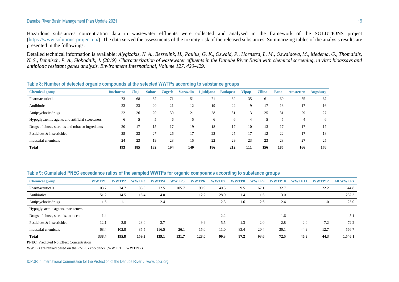Hazardous substances concentration data in wastewater effluents were collected and analysed in the framework of the SOLUTIONS project [\(https://www.solutions-project.eu/\)](https://www.solutions-project.eu/). The data served the assessments of the toxicity risk of the released substances. Summarizing tables of the analysis results are presented in the followings.

Detailed technical information is available: *Alygizakis, N. A., Besselink, H., Paulus, G. K., Oswald, P., Hornstra, L. M., Oswaldova, M., Medema, G., Thomaidis, N. S., Behnisch, P. A., Slobodnik, J. (2019). Characterization of wastewater effluents in the Danube River Basin with chemical screening, in vitro bioassays and antibiotic resistant genes analysis. Environment International, Volume 127, 420-429.*

| <b>Chemical group</b>                            | <b>Bucharest</b> | Clui | <b>Sabac</b> | <b>Zagreb</b> | <b>Varazdin</b> | Ljubljana | <b>Budapest</b> | Vipap | <b>Zilina</b> | <b>Brno</b> | <b>Amstetten</b> | <b>Augsburg</b> |
|--------------------------------------------------|------------------|------|--------------|---------------|-----------------|-----------|-----------------|-------|---------------|-------------|------------------|-----------------|
| Pharmaceuticals                                  | 73               | 68   | 67           | 71            | 51              | 71        | 82              | 35    | 61            | 69          | 55               | 67              |
| Antibiotics                                      | 23               | 23   | 20           | 21            | 12              | 19        | 22              | C     | 17            | 18          | 17               | 16              |
| Antipsychotic drugs                              | 22               | 26   | 29           | 30            | 21              | 28        | 31              | 13    | 25            | 31          | 29               | 27              |
| Hypoglycaemic agents and artificial sweeteners   | <sub>6</sub>     |      |              | <sub>6</sub>  |                 | $\sigma$  | <sub>6</sub>    | 4     |               |             | $\overline{4}$   | 6               |
| Drugs of abuse, steroids and tobacco ingredients | 20               | 17   | 15           | 17            | 19              | 18        |                 | 10    | 13            |             | 17               | 17              |
| Pesticides & Insecticides                        | 25               | 23   | 27           | 26            | 17              | 22        | 25              |       | 12            | 22          |                  | 18              |
| Industrial chemicals                             | 24               | 23   | 19           | 23            | 15              | 22        | 29              | 23    | 23            | 23          | 27               | 25              |
| <b>Total</b>                                     | 193              | 185  | 182          | 194           | 140             | 186       | 212             | 111   | 156           | 185         | 166              | 176             |

#### **Table 8: Number of detected organic compounds at the selected WWTPs according to substance groups**

#### **Table 9: Cumulated PNEC exceedance ratios of the sampled WWTPs for organic compounds according to substance groups**

| <b>Chemical group</b>             | <b>WWTP1</b> | WWTP2 | TP3<br>ww | ww<br>TP4 | WWTP5 | ww<br>TP6 | <b>WWTP7</b> | WWTP8 | ww<br>TP9 | wv<br>P10) | ww<br>TP11 | <b>WWTP12</b> | <b>All WWTPs</b> |
|-----------------------------------|--------------|-------|-----------|-----------|-------|-----------|--------------|-------|-----------|------------|------------|---------------|------------------|
| Pharmaceuticals                   | 103.7        | 74.7  | 85.5      | 12.5      | 105.7 | 90.9      | 40.3         | 9.5   | 67.1      | 32.7       |            | 22.2          | 644.8            |
| Antibiotics                       | 151.2        | 14.5  | 15.4      | 4.0       |       | 12.2      | 28.0         | 1.4   | 1.6       | 3.0        |            | 1.1           | 232.3            |
| Antipsychotic drugs               | 1.6          | 1.1   |           | 2.4       |       |           | 12.3         | 1.6   | 2.6       | 2.4        |            | 1.0           | 25.0             |
| Hypoglycaemic agents, sweeteners  |              |       |           |           |       |           |              |       |           |            |            |               |                  |
| Drugs of abuse, steroids, tobacco | 1.4          |       |           |           |       |           | 2.2          |       |           | 1.6        |            |               | 5.1              |
| Pesticides & Insecticides         | 12.1         | 2.8   | 23.0      | 3.7       |       | 9.9       | 5.5          | 1.3   | 2.0       | 2.8        | 2.0        | 7.2           | 72.2             |
| Industrial chemicals              | 68.4         | 102.8 | 35.5      | 116.5     | 26.1  | 15.0      | 11.0         | 83.4  | 20.4      | 30.1       | 44.9       | 12.7          | 566.7            |
| <b>Total</b>                      | 338.4        | 195.8 | 159.3     | 139.1     | 131.7 | 128.0     | 99.3         | 97.2  | 93.6      | 72.5       | 46.9       | 44.3          | 1,546.1          |

PNEC: Predicted No Effect Concentration

WWTPs are ranked based on the PNEC exceedance (WWTP1… WWTP12)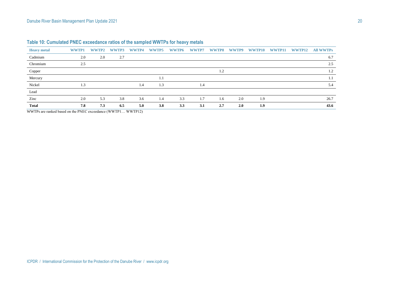| <b>Heavy metal</b> | WWTP1 | WWTP2 | WWTP3 | WWTP4 | WWTP5 | WWTP6 | <b>WWTP7</b> | WWTP8 | <b>WWTP9</b> | WWTP10 | WWTP11 | WWTP12 | <b>All WWTPs</b> |
|--------------------|-------|-------|-------|-------|-------|-------|--------------|-------|--------------|--------|--------|--------|------------------|
| Cadmium            | 2.0   | 2.0   | 2.7   |       |       |       |              |       |              |        |        |        | 6.7              |
| Chromium           | 2.5   |       |       |       |       |       |              |       |              |        |        |        | 2.5              |
| Copper             |       |       |       |       |       |       |              | 1.2   |              |        |        |        | 1.2              |
| Mercury            |       |       |       |       | 1.1   |       |              |       |              |        |        |        | 1.1              |
| Nickel             | 1.3   |       |       | 1.4   | 1.3   |       | 1.4          |       |              |        |        |        | 5.4              |
| Lead               |       |       |       |       |       |       |              |       |              |        |        |        |                  |
| Zinc               | 2.0   | 5.3   | 3.8   | 3.6   | 1.4   | 3.3   | 1.7          | 1.6   | 2.0          | 1.9    |        |        | 26.7             |
| <b>Total</b>       | 7.8   | 7.3   | 6.5   | 5.0   | 3.8   | 3.3   | 3.1          | 2.7   | 2.0          | 1.9    |        |        | 43.6             |

| Table 10: Cumulated PNEC exceedance ratios of the sampled WWTPs for heavy metals |  |
|----------------------------------------------------------------------------------|--|
|----------------------------------------------------------------------------------|--|

WWTPs are ranked based on the PNEC exceedance (WWTP1… WWTP12)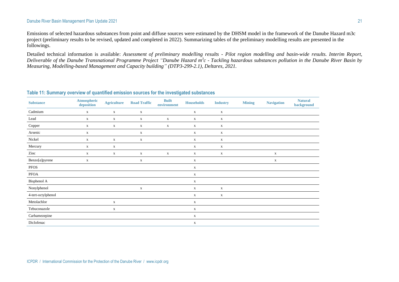Emissions of selected hazardous substances from point and diffuse sources were estimated by the DHSM model in the framework of the Danube Hazard m3c project (preliminary results to be revised, updated and completed in 2022). Summarizing tables of the preliminary modelling results are presented in the followings.

Detailed technical information is available: *Assessment of preliminary modelling results - Pilot region modelling and basin-wide results. Interim Report, Deliverable of the Danube Transnational Programme Project "Danube Hazard m<sup>3</sup> c - Tackling hazardous substances pollution in the Danube River Basin by Measuring, Modelling-based Management and Capacity building" (DTP3-299-2.1), Deltares, 2021.*

#### **Table 11: Summary overview of quantified emission sources for the investigated substances**

| <b>Substance</b>   | <b>Atmospheric</b><br>deposition | <b>Agriculture</b> | <b>Road Traffic</b> | <b>Built</b><br>environment | <b>Households</b> | <b>Industry</b> | <b>Mining</b> | <b>Navigation</b> | <b>Natural</b><br>background |
|--------------------|----------------------------------|--------------------|---------------------|-----------------------------|-------------------|-----------------|---------------|-------------------|------------------------------|
| Cadmium            | $\mathbf X$                      | $\mathbf X$        | $\mathbf X$         |                             | $\mathbf X$       | $\mathbf X$     |               |                   |                              |
| Lead               | $\mathbf X$                      | $\mathbf X$        | $\mathbf X$         | $\mathbf X$                 | $\mathbf X$       | $\mathbf X$     |               |                   |                              |
| Copper             | $\mathbf X$                      | $\mathbf X$        | $\mathbf X$         | $\mathbf X$                 | $\mathbf X$       | $\mathbf X$     |               |                   |                              |
| Arsenic            | $\mathbf X$                      |                    | $\mathbf X$         |                             | $\mathbf X$       | $\mathbf X$     |               |                   |                              |
| Nickel             | $\mathbf X$                      | $\mathbf X$        | $\mathbf X$         |                             | $\mathbf X$       | $\mathbf X$     |               |                   |                              |
| Mercury            | $\mathbf X$                      | $\mathbf X$        |                     |                             | $\mathbf X$       | $\mathbf X$     |               |                   |                              |
| Zinc               | $\mathbf X$                      | $\mathbf X$        | $\mathbf X$         | $\mathbf X$                 | $\mathbf X$       | $\mathbf X$     |               | $\mathbf X$       |                              |
| Benzo[a]pyrene     | $\mathbf X$                      |                    | $\mathbf X$         |                             | $\mathbf x$       |                 |               | $\mathbf X$       |                              |
| <b>PFOS</b>        |                                  |                    |                     |                             | $\mathbf X$       |                 |               |                   |                              |
| PFOA               |                                  |                    |                     |                             | $\mathbf X$       |                 |               |                   |                              |
| Bisphenol A        |                                  |                    |                     |                             | $\mathbf X$       |                 |               |                   |                              |
| Nonylphenol        |                                  |                    | $\mathbf X$         |                             | $\mathbf X$       | $\mathbf X$     |               |                   |                              |
| 4-tert-octylphenol |                                  |                    |                     |                             | $\mathbf X$       | $\mathbf X$     |               |                   |                              |
| Metolachlor        |                                  | $\mathbf X$        |                     |                             | $\mathbf X$       |                 |               |                   |                              |
| Tebuconazole       |                                  | $\mathbf X$        |                     |                             | $\mathbf X$       |                 |               |                   |                              |
| Carbamezepine      |                                  |                    |                     |                             | $\mathbf X$       |                 |               |                   |                              |
| Diclofenac         |                                  |                    |                     |                             | $\mathbf X$       |                 |               |                   |                              |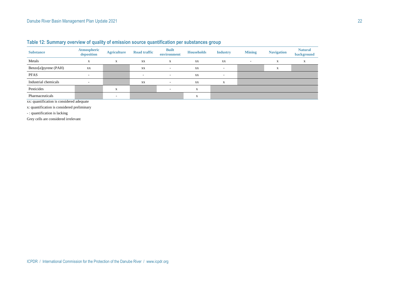| <b>Substance</b>     | <b>Atmospheric</b><br>deposition | <b>Agriculture</b>       | <b>Road traffic</b>      | <b>Built</b><br>environment | <b>Households</b> | <b>Industry</b>          | <b>Mining</b>            | <b>Navigation</b> | <b>Natural</b><br>background |
|----------------------|----------------------------------|--------------------------|--------------------------|-----------------------------|-------------------|--------------------------|--------------------------|-------------------|------------------------------|
| Metals               | $\mathbf{v}$<br>л                | X                        | XX                       | X                           | XX                | XX                       | $\overline{\phantom{a}}$ | X                 | A                            |
| Benzo[a]pyrene (PAH) | XX                               |                          | XX                       | $\overline{\phantom{a}}$    | XX                | $\overline{\phantom{a}}$ |                          | X                 |                              |
| <b>PFAS</b>          | $\overline{\phantom{0}}$         |                          | $\overline{\phantom{a}}$ | $\overline{\phantom{0}}$    | XX                | $\sim$                   |                          |                   |                              |
| Industrial chemicals |                                  |                          | XX                       |                             | XX                | X                        |                          |                   |                              |
| Pesticides           |                                  | X                        |                          | $\overline{\phantom{a}}$    | X                 |                          |                          |                   |                              |
| Pharmaceuticals      |                                  | $\overline{\phantom{a}}$ |                          |                             | X                 |                          |                          |                   |                              |

**Table 12: Summary overview of quality of emission source quantification per substances group**

xx: quantification is considered adequate

x: quantification is considered preliminary

- : quantification is lacking

Grey cells are considered irrelevant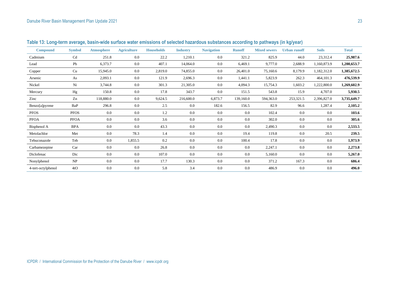| <b>Compound</b>    | <b>Symbol</b> | <b>Atmosphere</b> | <b>Agriculture</b> | <b>Households</b> | <b>Industry</b> | <b>Navigation</b> | <b>Runoff</b> | <b>Mixed sewers</b> | <b>Urban runoff</b> | <b>Soils</b> | <b>Total</b> |
|--------------------|---------------|-------------------|--------------------|-------------------|-----------------|-------------------|---------------|---------------------|---------------------|--------------|--------------|
| Cadmium            | Cd            | 251.8             | 0.0                | 22.2              | 1,210.1         | 0.0               | 321.2         | 825.9               | 44.0                | 23,312.4     | 25,987.6     |
| Lead               | Pb            | 6,373.7           | 0.0                | 407.1             | 14,064.0        | 0.0               | 6,469.1       | 9,777.0             | 2,688.9             | 1,160,873.9  | 1,200,653.7  |
| Copper             | Cu            | 15,945.0          | 0.0                | 2,819.0           | 74,855.0        | 0.0               | 26,401.0      | 75,160.6            | 8,179.9             | 1,182,312.0  | 1,385,672.5  |
| Arsenic            | As            | 2,093.1           | 0.0                | 121.9             | 2,696.3         | $0.0\,$           | 1,441.1       | 5,823.9             | 262.3               | 464,101.3    | 476,539.9    |
| Nickel             | Ni            | 3,744.8           | 0.0                | 301.3             | 21,305.0        | 0.0               | 4,094.3       | 15,754.3            | 1,603.2             | 1,222,800.0  | 1,269,602.9  |
| Mercury            | Hg            | 150.8             | 0.0                | 17.8              | 343.7           | 0.0               | 151.5         | 543.8               | 15.9                | 4,707.0      | 5,930.5      |
| Zinc               | Zn            | 118,880.0         | 0.0                | 9,624.5           | 216,600.0       | 6,873.7           | 139,160.0     | 594,363.0           | 253,321.5           | 2,396,827.0  | 3,735,649.7  |
| Benzo[a]pyrene     | BaP           | 296.8             | 0.0                | 2.5               | 0.0             | 182.6             | 156.5         | 82.9                | 96.6                | 1,287.4      | 2,105.2      |
| <b>PFOS</b>        | <b>PFOS</b>   | 0.0               | 0.0                | 1.2               | 0.0             | 0.0               | 0.0           | 102.4               | 0.0                 | 0.0          | 103.6        |
| <b>PFOA</b>        | <b>PFOA</b>   | 0.0               | 0.0                | 3.6               | 0.0             | 0.0               | 0.0           | 302.0               | 0.0                 | 0.0          | 305.6        |
| Bisphenol A        | <b>BPA</b>    | 0.0               | 0.0                | 43.3              | 0.0             | 0.0               | 0.0           | 2,490.3             | 0.0                 | 0.0          | 2,533.5      |
| Metolachlor        | Met           | 0.0               | 78.3               | 1.4               | 0.0             | 0.0               | 19.4          | 119.8               | 0.0                 | 20.5         | 239.5        |
| Tebuconazole       | Teb           | 0.0               | 1,855.5            | 0.2               | 0.0             | 0.0               | 100.4         | 17.8                | 0.0                 | 0.0          | 1,973.9      |
| Carbamezepine      | Car           | 0.0               | 0.0                | 26.8              | 0.0             | 0.0               | 0.0           | 2,247.1             | 0.0                 | 0.0          | 2,273.8      |
| Diclofenac         | Dic           | 0.0               | 0.0                | 107.0             | 0.0             | $0.0\,$           | 0.0           | 5,160.0             | 0.0                 | 0.0          | 5,267.0      |
| Nonylphenol        | NP            | 0.0               | 0.0                | 17.7              | 130.3           | 0.0               | 0.0           | 371.2               | 167.3               | 0.0          | 686.4        |
| 4-tert-octylphenol | 4tO           | 0.0               | 0.0                | 5.8               | 3.4             | 0.0               | 0.0           | 486.9               | 0.0                 | 0.0          | 496.0        |

**Table 13: Long-term average, basin-wide surface water emissions of selected hazardous substances according to pathways (in kg/year)**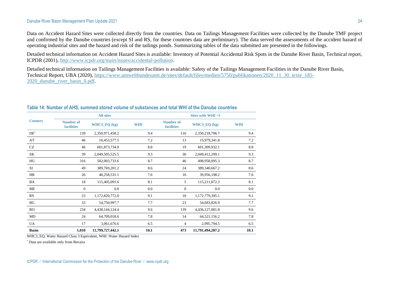Data on Accident Hazard Sites were collected directly from the countries. Data on Tailings Management Facilities were collected by the Danube TMF project and confirmed by the Danube countries (except SI and RS, for these countries data are preliminary). The data served the assessments of the accident hazard of operating industrial sites and the hazard and risk of the tailings ponds. Summarizing tables of the data submitted are presented in the followings.

Detailed technical information on Accident Hazard Sites is available: Inventory of Potential Accidental Risk Spots in the Danube River Basin, Technical report, ICPDR (2001), [http://www.icpdr.org/main/issues/accidental-pollution.](http://www.icpdr.org/main/issues/accidental-pollution)

Detailed technical information on Tailings Management Facilities is available: Safety of the Tailings Management Facilities in the Danube River Basin, Technical Report, UBA (2020), [https://www.umweltbundesamt.de/sites/default/files/medien/5750/publikationen/2020\\_11\\_30\\_texte\\_185-](https://www.umweltbundesamt.de/sites/default/files/medien/5750/publikationen/2020_11_30_texte_185-2020_danube_river_basin_0.pdf) [2020\\_danube\\_river\\_basin\\_0.pdf.](https://www.umweltbundesamt.de/sites/default/files/medien/5750/publikationen/2020_11_30_texte_185-2020_danube_river_basin_0.pdf)

|                |                                       | <b>All sites</b> |            |                                | Sites with WHI > 5 |            |  |  |
|----------------|---------------------------------------|------------------|------------|--------------------------------|--------------------|------------|--|--|
| <b>Country</b> | <b>Number of</b><br><b>facilities</b> | WHC3_EQ (kg)     | <b>WHI</b> | Number of<br><b>facilities</b> | WHC3_EQ (kg)       | <b>WHI</b> |  |  |
| $DE^*$         | 139                                   | 2,350,971,458.2  | 9.4        | 116                            | 2,350,218,706.7    | 9.4        |  |  |
| AT             | 46                                    | 16,453,577.5     | 7.2        | 13                             | 15,979,341.8       | 7.2        |  |  |
| CZ             | 46                                    | 601,873,734.0    | 8.8        | 19                             | 601,309,932.1      | 8.8        |  |  |
| SK             | 39                                    | 2,049,505,525.5  | 9.3        | 36                             | 2,049,412,299.1    | 9.3        |  |  |
| HU             | 316                                   | 502,003,733.6    | 8.7        | 46                             | 498,958,095.3      | 8.7        |  |  |
| SI             | 49                                    | 389,769,201.2    | 8.6        | 24                             | 389,340,667.2      | 8.6        |  |  |
| HR             | 26                                    | 40,258,531.1     | 7.6        | 16                             | 39,956,198.2       | 7.6        |  |  |
| BA             | 18                                    | 115,405,091.6    | 8.1        | 5                              | 115,211,872.3      | 8.1        |  |  |
| ME             | $\mathbf{0}$                          | 0.0              | 0.0        | $\mathbf{0}$                   | 0.0                | $0.0\,$    |  |  |
| RS             | 23                                    | 1,172,820,772.0  | 9.1        | 18                             | 1,172,779,395.1    | 9.1        |  |  |
| BG             | 33                                    | 54,750,997.7     | 7.7        | 23                             | 54,683,826.9       | 7.7        |  |  |
| <b>RO</b>      | 234                                   | 4,438,144,124.4  | 9.6        | 139                            | 4,436,127,001.8    | 9.6        |  |  |
| MD             | 24                                    | 64,709,018.6     | 7.8        | 14                             | 64,521,156.2       | 7.8        |  |  |
| <b>UA</b>      | 17                                    | 3,061,676.6      | 6.5        | $\overline{4}$                 | 2,995,794.5        | 6.5        |  |  |
| <b>Basin</b>   | 1,010                                 | 11,799,727,442.1 | 10.1       | 473                            | 11,791,494,287.2   | 10.1       |  |  |

### **Table 14: Number of AHS, summed stored volume of substances and total WHI of the Danube countries**

WHC3 EQ: Water Hazard Class 3 Equivalent, WHI: Water Hazard Index

\* Data are available only from Bavaria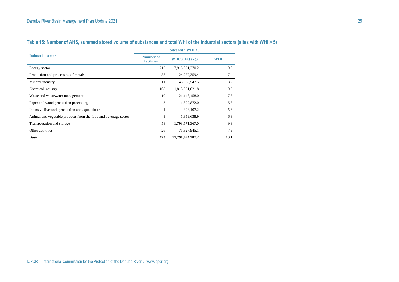|                                                                 | Sites with WHI $>5$            |                  |            |  |  |  |
|-----------------------------------------------------------------|--------------------------------|------------------|------------|--|--|--|
| <b>Industrial sector</b>                                        | Number of<br><b>facilities</b> | WHC3_EQ $(kg)$   | <b>WHI</b> |  |  |  |
| Energy sector                                                   | 215                            | 7,915,321,370.2  | 9.9        |  |  |  |
| Production and processing of metals                             | 38                             | 24, 277, 359. 4  | 7.4        |  |  |  |
| Mineral industry                                                | 11                             | 148,065,547.5    | 8.2        |  |  |  |
| Chemical industry                                               | 108                            | 1,813,031,621.8  | 9.3        |  |  |  |
| Waste and wastewater management                                 | 10                             | 21,148,458.0     | 7.3        |  |  |  |
| Paper and wood production processing                            | 3                              | 1,892,872.0      | 6.3        |  |  |  |
| Intensive livestock production and aquaculture                  |                                | 398,107.2        | 5.6        |  |  |  |
| Animal and vegetable products from the food and beverage sector | 3                              | 1,959,638.9      | 6.3        |  |  |  |
| Transportation and storage                                      | 58                             | 1,793,571,367.0  | 9.3        |  |  |  |
| Other activities                                                | 26                             | 71,827,945.1     | 7.9        |  |  |  |
| <b>Basin</b>                                                    | 473                            | 11,791,494,287.2 | 10.1       |  |  |  |

# **Table 15: Number of AHS, summed stored volume of substances and total WHI of the industrial sectors (sites with WHI > 5)**